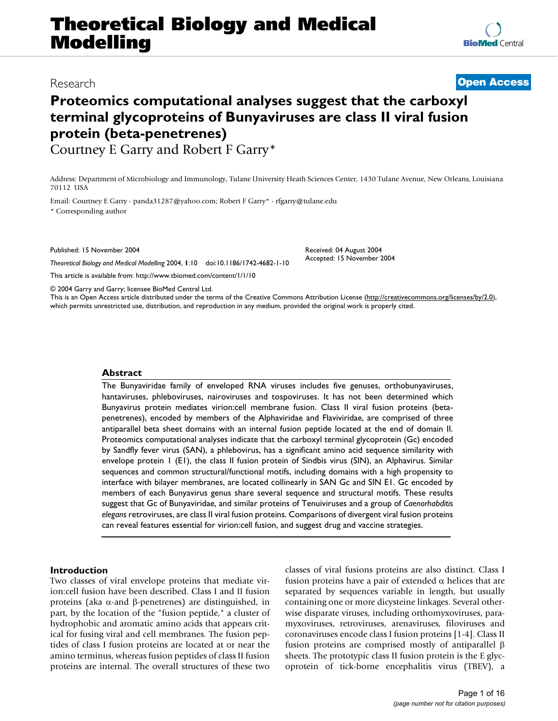# **Theoretical Biology and Medical Modelling**

## Research **[Open Access](http://www.biomedcentral.com/info/about/charter/)**

# **Proteomics computational analyses suggest that the carboxyl terminal glycoproteins of Bunyaviruses are class II viral fusion protein (beta-penetrenes)**

Courtney E Garry and Robert F Garry\*

Address: Department of Microbiology and Immunology, Tulane University Heath Sciences Center, 1430 Tulane Avenue, New Orleans, Louisiana 70112 USA

> Received: 04 August 2004 Accepted: 15 November 2004

Email: Courtney E Garry - panda31287@yahoo.com; Robert F Garry\* - rfgarry@tulane.edu \* Corresponding author

Published: 15 November 2004

*Theoretical Biology and Medical Modelling* 2004, **1**:10 doi:10.1186/1742-4682-1-10

[This article is available from: http://www.tbiomed.com/content/1/1/10](http://www.tbiomed.com/content/1/1/10)

© 2004 Garry and Garry; licensee BioMed Central Ltd.

This is an Open Access article distributed under the terms of the Creative Commons Attribution License [\(http://creativecommons.org/licenses/by/2.0\)](http://creativecommons.org/licenses/by/2.0), which permits unrestricted use, distribution, and reproduction in any medium, provided the original work is properly cited.

#### **Abstract**

The Bunyaviridae family of enveloped RNA viruses includes five genuses, orthobunyaviruses, hantaviruses, phleboviruses, nairoviruses and tospoviruses. It has not been determined which Bunyavirus protein mediates virion:cell membrane fusion. Class II viral fusion proteins (betapenetrenes), encoded by members of the Alphaviridae and Flaviviridae, are comprised of three antiparallel beta sheet domains with an internal fusion peptide located at the end of domain II. Proteomics computational analyses indicate that the carboxyl terminal glycoprotein (Gc) encoded by Sandfly fever virus (SAN), a phlebovirus, has a significant amino acid sequence similarity with envelope protein 1 (E1), the class II fusion protein of Sindbis virus (SIN), an Alphavirus. Similar sequences and common structural/functional motifs, including domains with a high propensity to interface with bilayer membranes, are located collinearly in SAN Gc and SIN E1. Gc encoded by members of each Bunyavirus genus share several sequence and structural motifs. These results suggest that Gc of Bunyaviridae, and similar proteins of Tenuiviruses and a group of *Caenorhabditis elegans* retroviruses, are class II viral fusion proteins. Comparisons of divergent viral fusion proteins can reveal features essential for virion:cell fusion, and suggest drug and vaccine strategies.

#### **Introduction**

Two classes of viral envelope proteins that mediate virion:cell fusion have been described. Class I and II fusion proteins (aka α-and β-penetrenes) are distinguished, in part, by the location of the "fusion peptide," a cluster of hydrophobic and aromatic amino acids that appears critical for fusing viral and cell membranes. The fusion peptides of class I fusion proteins are located at or near the amino terminus, whereas fusion peptides of class II fusion proteins are internal. The overall structures of these two classes of viral fusions proteins are also distinct. Class I fusion proteins have a pair of extended  $\alpha$  helices that are separated by sequences variable in length, but usually containing one or more dicysteine linkages. Several otherwise disparate viruses, including orthomyxoviruses, paramyxoviruses, retroviruses, arenaviruses, filoviruses and coronaviruses encode class I fusion proteins [1-4]. Class II fusion proteins are comprised mostly of antiparallel β sheets. The prototypic class II fusion protein is the E glycoprotein of tick-borne encephalitis virus (TBEV), a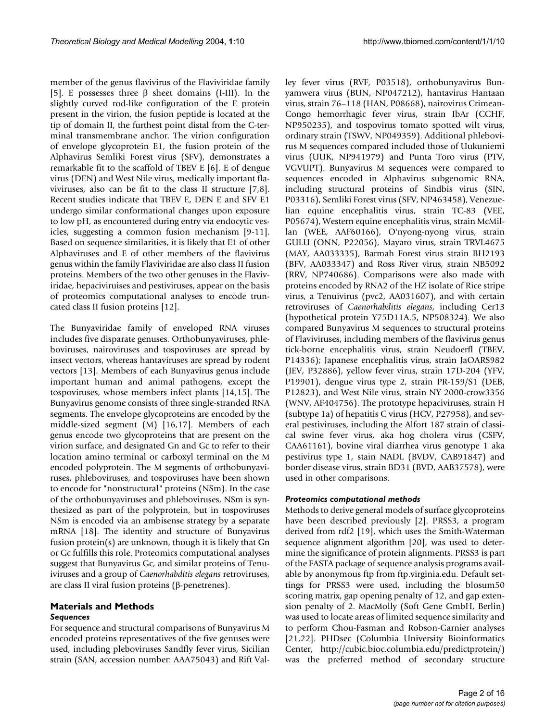member of the genus flavivirus of the Flaviviridae family [5]. E possesses three β sheet domains (I-III). In the slightly curved rod-like configuration of the E protein present in the virion, the fusion peptide is located at the tip of domain II, the furthest point distal from the C-terminal transmembrane anchor. The virion configuration of envelope glycoprotein E1, the fusion protein of the Alphavirus Semliki Forest virus (SFV), demonstrates a remarkable fit to the scaffold of TBEV E [6]. E of dengue virus (DEN) and West Nile virus, medically important flaviviruses, also can be fit to the class II structure [7,8]. Recent studies indicate that TBEV E, DEN E and SFV E1 undergo similar conformational changes upon exposure to low pH, as encountered during entry via endocytic vesicles, suggesting a common fusion mechanism [9-11]. Based on sequence similarities, it is likely that E1 of other Alphaviruses and E of other members of the flavivirus genus within the family Flaviviridae are also class II fusion proteins. Members of the two other genuses in the Flaviviridae, hepaciviruises and pestiviruses, appear on the basis of proteomics computational analyses to encode truncated class II fusion proteins [12].

The Bunyaviridae family of enveloped RNA viruses includes five disparate genuses. Orthobunyaviruses, phleboviruses, nairoviruses and tospoviruses are spread by insect vectors, whereas hantaviruses are spread by rodent vectors [13]. Members of each Bunyavirus genus include important human and animal pathogens, except the tospoviruses, whose members infect plants [14,15]. The Bunyavirus genome consists of three single-stranded RNA segments. The envelope glycoproteins are encoded by the middle-sized segment (M) [16,17]. Members of each genus encode two glycoproteins that are present on the virion surface, and designated Gn and Gc to refer to their location amino terminal or carboxyl terminal on the M encoded polyprotein. The M segments of orthobunyaviruses, phleboviruses, and tospoviruses have been shown to encode for "nonstructural" proteins (NSm). In the case of the orthobunyaviruses and phleboviruses, NSm is synthesized as part of the polyprotein, but in tospoviruses NSm is encoded via an ambisense strategy by a separate mRNA [18]. The identity and structure of Bunyavirus fusion protein(s) are unknown, though it is likely that Gn or Gc fulfills this role. Proteomics computational analyses suggest that Bunyavirus Gc, and similar proteins of Tenuiviruses and a group of *Caenorhabditis elegans* retroviruses, are class II viral fusion proteins (β-penetrenes).

## **Materials and Methods**

## *Sequences*

For sequence and structural comparisons of Bunyavirus M encoded proteins representatives of the five genuses were used, including pleboviruses Sandfly fever virus, Sicilian strain (SAN, accession number: AAA75043) and Rift Valley fever virus (RVF, P03518), orthobunyavirus Bunyamwera virus (BUN, NP047212), hantavirus Hantaan virus, strain 76–118 (HAN, P08668), nairovirus Crimean-Congo hemorrhagic fever virus, strain IbAr (CCHF, NP950235), and tospovirus tomato spotted wilt virus, ordinary strain (TSWV, NP049359). Additional phlebovirus M sequences compared included those of Uukuniemi virus (UUK, NP941979) and Punta Toro virus (PTV, VGVUPT). Bunyavirus M sequences were compared to sequences encoded in Alphavirus subgenomic RNA, including structural proteins of Sindbis virus (SIN, P03316), Semliki Forest virus (SFV, NP463458), Venezuelian equine encephalitis virus, strain TC-83 (VEE, P05674), Western equine encephalitis virus, strain McMillan (WEE, AAF60166), O'nyong-nyong virus, strain GULU (ONN, P22056), Mayaro virus, strain TRVL4675 (MAY, AA033335), Barmah Forest virus strain BH2193 (BFV, AA033347) and Ross River virus, strain NB5092 (RRV, NP740686). Comparisons were also made with proteins encoded by RNA2 of the HZ isolate of Rice stripe virus, a Tenuivirus (pvc2, AA031607), and with certain retroviruses of *Caenorhabditis elegans*, including Cer13 (hypothetical protein Y75D11A.5, NP508324). We also compared Bunyavirus M sequences to structural proteins of Flaviviruses, including members of the flavivirus genus tick-borne encephalitis virus, strain Neudoerfl (TBEV, P14336); Japanese encephalitis virus, strain JaOARS982 (JEV, P32886), yellow fever virus, strain 17D-204 (YFV, P19901), dengue virus type 2, strain PR-159/S1 (DEB, P12823), and West Nile virus, strain NY 2000-crow3356 (WNV, AF404756). The prototype hepaciviruses, strain H (subtype 1a) of hepatitis C virus (HCV, P27958), and several pestiviruses, including the Alfort 187 strain of classical swine fever virus, aka hog cholera virus (CSFV, CAA61161), bovine viral diarrhea virus genotype 1 aka pestivirus type 1, stain NADL (BVDV, CAB91847) and border disease virus, strain BD31 (BVD, AAB37578), were used in other comparisons.

## *Proteomics computational methods*

Methods to derive general models of surface glycoproteins have been described previously [2]. PRSS3, a program derived from rdf2 [19], which uses the Smith-Waterman sequence alignment algorithm [20], was used to determine the significance of protein alignments. PRSS3 is part of the FASTA package of sequence analysis programs available by anonymous ftp from ftp.virginia.edu. Default settings for PRSS3 were used, including the blosum50 scoring matrix, gap opening penalty of 12, and gap extension penalty of 2. MacMolly (Soft Gene GmbH, Berlin) was used to locate areas of limited sequence similarity and to perform Chou-Fasman and Robson-Garnier analyses [21,22]. PHDsec (Columbia University Bioinformatics Center, <http://cubic.bioc.columbia.edu/predictprotein/>) was the preferred method of secondary structure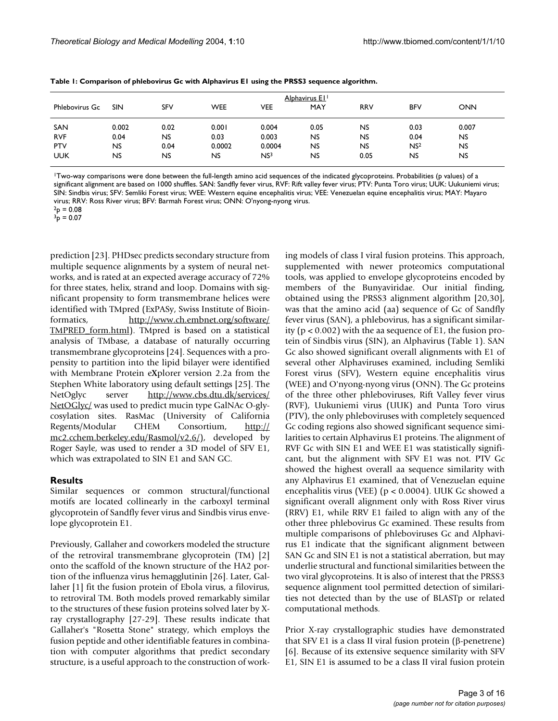| Alphavirus El <sup>1</sup> |            |      |            |                 |      |            |                 |            |
|----------------------------|------------|------|------------|-----------------|------|------------|-----------------|------------|
| <b>Phlebovirus Gc</b>      | <b>SIN</b> | SFV  | <b>WEE</b> | VEE             | MAY  | <b>RRV</b> | BFV             | <b>ONN</b> |
| SAN                        | 0.002      | 0.02 | 0.001      | 0.004           | 0.05 | NS         | 0.03            | 0.007      |
| <b>RVF</b>                 | 0.04       | NS   | 0.03       | 0.003           | NS   | <b>NS</b>  | 0.04            | NS.        |
| <b>PTV</b>                 | <b>NS</b>  | 0.04 | 0.0002     | 0.0004          | NS   | <b>NS</b>  | NS <sup>2</sup> | NS.        |
| uuk                        | <b>NS</b>  | NS   | <b>NS</b>  | NS <sup>3</sup> | NS   | 0.05       | NS.             | NS         |

<span id="page-2-0"></span>**Table 1: Comparison of phlebovirus Gc with Alphavirus E1 using the PRSS3 sequence algorithm.**

1Two-way comparisons were done between the full-length amino acid sequences of the indicated glycoproteins. Probabilities (p values) of a significant alignment are based on 1000 shuffles. SAN: Sandfly fever virus, RVF: Rift valley fever virus; PTV: Punta Toro virus; UUK: Uukuniemi virus; SIN: Sindbis virus; SFV: Semliki Forest virus; WEE: Western equine encephalitis virus; VEE: Venezuelan equine encephalitis virus; MAY: Mayaro virus; RRV: Ross River virus; BFV: Barmah Forest virus; ONN: O'nyong-nyong virus.

 $2p = 0.08$ 

 $3p = 0.07$ 

prediction [23]. PHDsec predicts secondary structure from multiple sequence alignments by a system of neural networks, and is rated at an expected average accuracy of 72% for three states, helix, strand and loop. Domains with significant propensity to form transmembrane helices were identified with TMpred (ExPASy, Swiss Institute of Bioinformatics, [http://www.ch.embnet.org/software/](http://www.ch.embnet.org/software/TMPRED_form.html) [TMPRED\\_form.html](http://www.ch.embnet.org/software/TMPRED_form.html)). TMpred is based on a statistical analysis of TMbase, a database of naturally occurring transmembrane glycoproteins [24]. Sequences with a propensity to partition into the lipid bilayer were identified with Membrane Protein e**X**plorer version 2.2a from the Stephen White laboratory using default settings [25]. The NetOglyc server [http://www.cbs.dtu.dk/services/](http://www.cbs.dtu.dk/services/NetOGlyc/) [NetOGlyc/](http://www.cbs.dtu.dk/services/NetOGlyc/) was used to predict mucin type GalNAc O-glycosylation sites. RasMac (University of California Regents/Modular CHEM Consortium, [http://](http://mc2.cchem.berkeley.edu/Rasmol/v2.6/) [mc2.cchem.berkeley.edu/Rasmol/v2.6/](http://mc2.cchem.berkeley.edu/Rasmol/v2.6/)), developed by Roger Sayle, was used to render a 3D model of SFV E1, which was extrapolated to SIN E1 and SAN GC.

#### **Results**

Similar sequences or common structural/functional motifs are located collinearly in the carboxyl terminal glycoprotein of Sandfly fever virus and Sindbis virus envelope glycoprotein E1.

Previously, Gallaher and coworkers modeled the structure of the retroviral transmembrane glycoprotein (TM) [2] onto the scaffold of the known structure of the HA2 portion of the influenza virus hemagglutinin [26]. Later, Gallaher [1] fit the fusion protein of Ebola virus, a filovirus, to retroviral TM. Both models proved remarkably similar to the structures of these fusion proteins solved later by Xray crystallography [27-29]. These results indicate that Gallaher's "Rosetta Stone" strategy, which employs the fusion peptide and other identifiable features in combination with computer algorithms that predict secondary structure, is a useful approach to the construction of working models of class I viral fusion proteins. This approach, supplemented with newer proteomics computational tools, was applied to envelope glycoproteins encoded by members of the Bunyaviridae. Our initial finding, obtained using the PRSS3 alignment algorithm [20,30], was that the amino acid (aa) sequence of Gc of Sandfly fever virus (SAN), a phlebovirus, has a significant similarity ( $p < 0.002$ ) with the aa sequence of E1, the fusion protein of Sindbis virus (SIN), an Alphavirus (Table [1](#page-2-0)). SAN Gc also showed significant overall alignments with E1 of several other Alphaviruses examined, including Semliki Forest virus (SFV), Western equine encephalitis virus (WEE) and O'nyong-nyong virus (ONN). The Gc proteins of the three other phleboviruses, Rift Valley fever virus (RVF), Uukuniemi virus (UUK) and Punta Toro virus (PTV), the only phleboviruses with completely sequenced Gc coding regions also showed significant sequence similarities to certain Alphavirus E1 proteins. The alignment of RVF Gc with SIN E1 and WEE E1 was statistically significant, but the alignment with SFV E1 was not. PTV Gc showed the highest overall aa sequence similarity with any Alphavirus E1 examined, that of Venezuelan equine encephalitis virus (VEE) (p < 0.0004). UUK Gc showed a significant overall alignment only with Ross River virus (RRV) E1, while RRV E1 failed to align with any of the other three phlebovirus Gc examined. These results from multiple comparisons of phleboviruses Gc and Alphavirus E1 indicate that the significant alignment between SAN Gc and SIN E1 is not a statistical aberration, but may underlie structural and functional similarities between the two viral glycoproteins. It is also of interest that the PRSS3 sequence alignment tool permitted detection of similarities not detected than by the use of BLASTp or related computational methods.

Prior X-ray crystallographic studies have demonstrated that SFV E1 is a class II viral fusion protein (β-penetrene) [6]. Because of its extensive sequence similarity with SFV E1, SIN E1 is assumed to be a class II viral fusion protein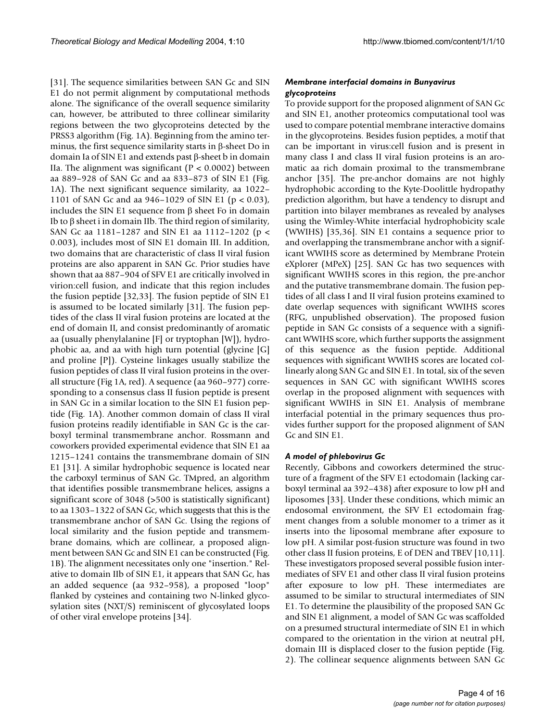[31]. The sequence similarities between SAN Gc and SIN E1 do not permit alignment by computational methods alone. The significance of the overall sequence similarity can, however, be attributed to three collinear similarity regions between the two glycoproteins detected by the PRSS3 algorithm (Fig. [1](#page-4-0)A). Beginning from the amino terminus, the first sequence similarity starts in β-sheet Do in domain Ia of SIN E1 and extends past β-sheet b in domain IIa. The alignment was significant ( $P < 0.0002$ ) between aa 889–928 of SAN Gc and aa 833–873 of SIN E1 (Fig. [1A](#page-4-0)). The next significant sequence similarity, aa 1022– 1101 of SAN Gc and aa 946–1029 of SIN E1 (p < 0.03), includes the SIN E1 sequence from β sheet Fo in domain Ib to β sheet i in domain IIb. The third region of similarity, SAN Gc aa 1181–1287 and SIN E1 aa 1112–1202 (p < 0.003), includes most of SIN E1 domain III. In addition, two domains that are characteristic of class II viral fusion proteins are also apparent in SAN Gc. Prior studies have shown that aa 887–904 of SFV E1 are critically involved in virion:cell fusion, and indicate that this region includes the fusion peptide [32,33]. The fusion peptide of SIN E1 is assumed to be located similarly [31]. The fusion peptides of the class II viral fusion proteins are located at the end of domain II, and consist predominantly of aromatic aa (usually phenylalanine [F] or tryptophan [W]), hydrophobic aa, and aa with high turn potential (glycine [G] and proline [P]). Cysteine linkages usually stabilize the fusion peptides of class II viral fusion proteins in the overall structure (Fig [1](#page-4-0)A, red). A sequence (aa 960–977) corresponding to a consensus class II fusion peptide is present in SAN Gc in a similar location to the SIN E1 fusion peptide (Fig. [1A](#page-4-0)). Another common domain of class II viral fusion proteins readily identifiable in SAN Gc is the carboxyl terminal transmembrane anchor. Rossmann and coworkers provided experimental evidence that SIN E1 aa 1215–1241 contains the transmembrane domain of SIN E1 [31]. A similar hydrophobic sequence is located near the carboxyl terminus of SAN Gc. TMpred, an algorithm that identifies possible transmembrane helices, assigns a significant score of 3048 (>500 is statistically significant) to aa 1303–1322 of SAN Gc, which suggests that this is the transmembrane anchor of SAN Gc. Using the regions of local similarity and the fusion peptide and transmembrane domains, which are collinear, a proposed alignment between SAN Gc and SIN E1 can be constructed (Fig. [1B](#page-4-0)). The alignment necessitates only one "insertion." Relative to domain IIb of SIN E1, it appears that SAN Gc, has an added sequence (aa 932–958), a proposed "loop" flanked by cysteines and containing two N-linked glycosylation sites (NXT/S) reminiscent of glycosylated loops of other viral envelope proteins [34].

#### *Membrane interfacial domains in Bunyavirus glycoproteins*

To provide support for the proposed alignment of SAN Gc and SIN E1, another proteomics computational tool was used to compare potential membrane interactive domains in the glycoproteins. Besides fusion peptides, a motif that can be important in virus:cell fusion and is present in many class I and class II viral fusion proteins is an aromatic aa rich domain proximal to the transmembrane anchor [35]. The pre-anchor domains are not highly hydrophobic according to the Kyte-Doolittle hydropathy prediction algorithm, but have a tendency to disrupt and partition into bilayer membranes as revealed by analyses using the Wimley-White interfacial hydrophobicity scale (WWIHS) [35,36]. SIN E1 contains a sequence prior to and overlapping the transmembrane anchor with a significant WWIHS score as determined by Membrane Protein eXplorer (MPeX) [25]. SAN Gc has two sequences with significant WWIHS scores in this region, the pre-anchor and the putative transmembrane domain. The fusion peptides of all class I and II viral fusion proteins examined to date overlap sequences with significant WWIHS scores (RFG, unpublished observation). The proposed fusion peptide in SAN Gc consists of a sequence with a significant WWIHS score, which further supports the assignment of this sequence as the fusion peptide. Additional sequences with significant WWIHS scores are located collinearly along SAN Gc and SIN E1. In total, six of the seven sequences in SAN GC with significant WWIHS scores overlap in the proposed alignment with sequences with significant WWIHS in SIN E1. Analysis of membrane interfacial potential in the primary sequences thus provides further support for the proposed alignment of SAN Gc and SIN E1.

#### *A model of phlebovirus Gc*

Recently, Gibbons and coworkers determined the structure of a fragment of the SFV E1 ectodomain (lacking carboxyl terminal aa 392–438) after exposure to low pH and liposomes [33]. Under these conditions, which mimic an endosomal environment, the SFV E1 ectodomain fragment changes from a soluble monomer to a trimer as it inserts into the liposomal membrane after exposure to low pH. A similar post-fusion structure was found in two other class II fusion proteins, E of DEN and TBEV [10,11]. These investigators proposed several possible fusion intermediates of SFV E1 and other class II viral fusion proteins after exposure to low pH. These intermediates are assumed to be similar to structural intermediates of SIN E1. To determine the plausibility of the proposed SAN Gc and SIN E1 alignment, a model of SAN Gc was scaffolded on a presumed structural intermediate of SIN E1 in which compared to the orientation in the virion at neutral pH, domain III is displaced closer to the fusion peptide (Fig. 2). The collinear sequence alignments between SAN Gc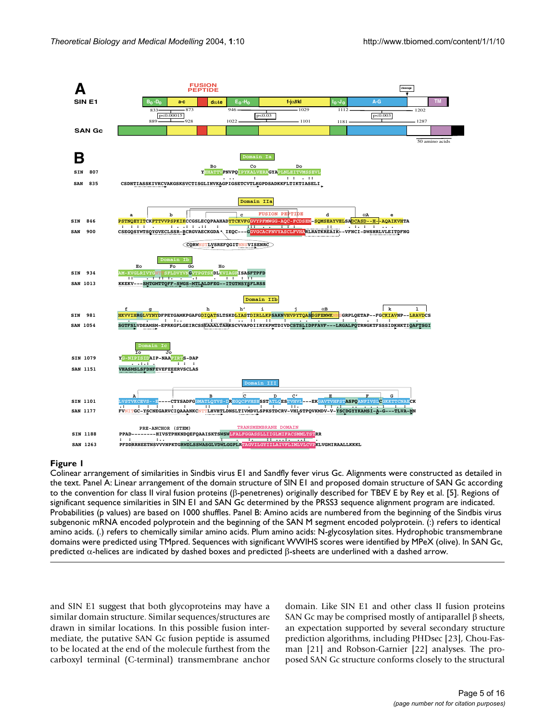<span id="page-4-0"></span>

#### Colinear arrangement of simi **Figure 1** larities in Sindbis virus E1 and Sandfly fever virus Gc

Colinear arrangement of similarities in Sindbis virus E1 and Sandfly fever virus Gc. Alignments were constructed as detailed in the text. Panel A: Linear arrangement of the domain structure of SIN E1 and proposed domain structure of SAN Gc according to the convention for class II viral fusion proteins (β-penetrenes) originally described for TBEV E by Rey et al. [5]. Regions of significant sequence similarities in SIN E1 and SAN Gc determined by the PRSS3 sequence alignment program are indicated. Probabilities (p values) are based on 1000 shuffles. Panel B: Amino acids are numbered from the beginning of the Sindbis virus subgenonic mRNA encoded polyprotein and the beginning of the SAN M segment encoded polyprotein. (:) refers to identical amino acids. (.) refers to chemically similar amino acids. Plum amino acids: N-glycosylation sites. Hydrophobic transmembrane domains were predicted using TMpred. Sequences with significant WWIHS scores were identified by MPeX (olive). In SAN Gc, predicted  $\alpha$ -helices are indicated by dashed boxes and predicted β-sheets are underlined with a dashed arrow.

and SIN E1 suggest that both glycoproteins may have a similar domain structure. Similar sequences/structures are drawn in similar locations. In this possible fusion intermediate, the putative SAN Gc fusion peptide is assumed to be located at the end of the molecule furthest from the carboxyl terminal (C-terminal) transmembrane anchor

domain. Like SIN E1 and other class II fusion proteins SAN Gc may be comprised mostly of antiparallel β sheets, an expectation supported by several secondary structure prediction algorithms, including PHDsec [23], Chou-Fasman [21] and Robson-Garnier [22] analyses. The proposed SAN Gc structure conforms closely to the structural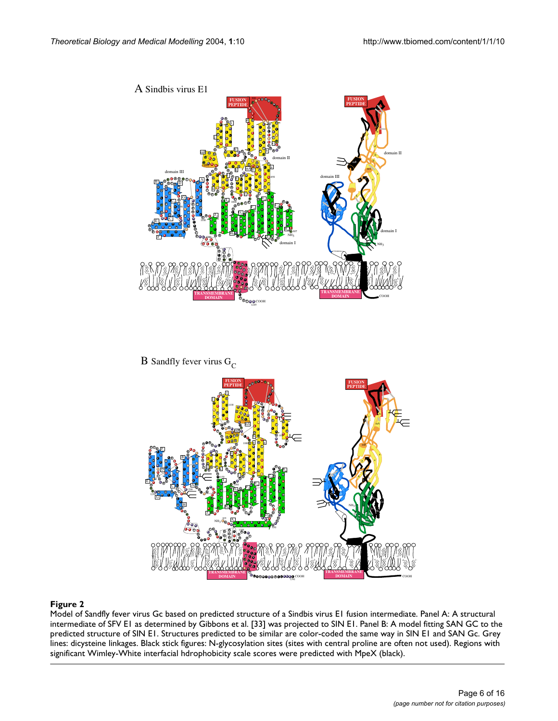

 $\,$  B Sandfly fever virus  $G_C^{}$ 



## Model of Sandfly fever virus Gc ba **Figure 2** sed on predicted structure of a Sindbis virus E1 fusion intermediate

Model of Sandfly fever virus Gc based on predicted structure of a Sindbis virus E1 fusion intermediate. Panel A: A structural intermediate of SFV E1 as determined by Gibbons et al. [33] was projected to SIN E1. Panel B: A model fitting SAN GC to the predicted structure of SIN E1. Structures predicted to be similar are color-coded the same way in SIN E1 and SAN Gc. Grey lines: dicysteine linkages. Black stick figures: N-glycosylation sites (sites with central proline are often not used). Regions with significant Wimley-White interfacial hdrophobicity scale scores were predicted with MpeX (black).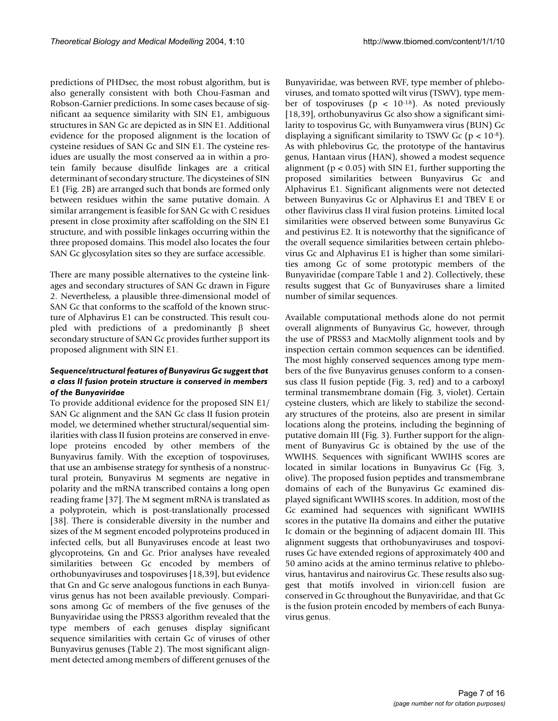predictions of PHDsec, the most robust algorithm, but is also generally consistent with both Chou-Fasman and Robson-Garnier predictions. In some cases because of significant aa sequence similarity with SIN E1, ambiguous structures in SAN Gc are depicted as in SIN E1. Additional evidence for the proposed alignment is the location of cysteine residues of SAN Gc and SIN E1. The cysteine residues are usually the most conserved aa in within a protein family because disulfide linkages are a critical determinant of secondary structure. The dicysteines of SIN E1 (Fig. 2B) are arranged such that bonds are formed only between residues within the same putative domain. A similar arrangement is feasible for SAN Gc with C residues present in close proximity after scaffolding on the SIN E1 structure, and with possible linkages occurring within the three proposed domains. This model also locates the four SAN Gc glycosylation sites so they are surface accessible.

There are many possible alternatives to the cysteine linkages and secondary structures of SAN Gc drawn in Figure 2. Nevertheless, a plausible three-dimensional model of SAN Gc that conforms to the scaffold of the known structure of Alphavirus E1 can be constructed. This result coupled with predictions of a predominantly β sheet secondary structure of SAN Gc provides further support its proposed alignment with SIN E1.

#### *Sequence/structural features of Bunyavirus Gc suggest that a class II fusion protein structure is conserved in members of the Bunyaviridae*

To provide additional evidence for the proposed SIN E1/ SAN Gc alignment and the SAN Gc class II fusion protein model, we determined whether structural/sequential similarities with class II fusion proteins are conserved in envelope proteins encoded by other members of the Bunyavirus family. With the exception of tospoviruses, that use an ambisense strategy for synthesis of a nonstructural protein, Bunyavirus M segments are negative in polarity and the mRNA transcribed contains a long open reading frame [37]. The M segment mRNA is translated as a polyprotein, which is post-translationally processed [38]. There is considerable diversity in the number and sizes of the M segment encoded polyproteins produced in infected cells, but all Bunyaviruses encode at least two glycoproteins, Gn and Gc. Prior analyses have revealed similarities between Gc encoded by members of orthobunyaviruses and tospoviruses [18,39], but evidence that Gn and Gc serve analogous functions in each Bunyavirus genus has not been available previously. Comparisons among Gc of members of the five genuses of the Bunyaviridae using the PRSS3 algorithm revealed that the type members of each genuses display significant sequence similarities with certain Gc of viruses of other Bunyavirus genuses (Table [2\)](#page-7-0). The most significant alignment detected among members of different genuses of the Bunyaviridae, was between RVF, type member of phleboviruses, and tomato spotted wilt virus (TSWV), type member of tospoviruses ( $p < 10^{-18}$ ). As noted previously [18,39], orthobunyavirus Gc also show a significant similarity to tospovirus Gc, with Bunyamwera virus (BUN) Gc displaying a significant similarity to TSWV Gc ( $p < 10^{-8}$ ). As with phlebovirus Gc, the prototype of the hantavirus genus, Hantaan virus (HAN), showed a modest sequence alignment ( $p < 0.05$ ) with SIN E1, further supporting the proposed similarities between Bunyavirus Gc and Alphavirus E1. Significant alignments were not detected between Bunyavirus Gc or Alphavirus E1 and TBEV E or other flavivirus class II viral fusion proteins. Limited local similarities were observed between some Bunyavirus Gc and pestivirus E2. It is noteworthy that the significance of the overall sequence similarities between certain phlebovirus Gc and Alphavirus E1 is higher than some similarities among Gc of some prototypic members of the Bunyaviridae (compare Table [1](#page-2-0) and [2\)](#page-7-0). Collectively, these results suggest that Gc of Bunyaviruses share a limited number of similar sequences.

Available computational methods alone do not permit overall alignments of Bunyavirus Gc, however, through the use of PRSS3 and MacMolly alignment tools and by inspection certain common sequences can be identified. The most highly conserved sequences among type members of the five Bunyavirus genuses conform to a consensus class II fusion peptide (Fig. 3, red) and to a carboxyl terminal transmembrane domain (Fig. 3, violet). Certain cysteine clusters, which are likely to stabilize the secondary structures of the proteins, also are present in similar locations along the proteins, including the beginning of putative domain III (Fig. 3). Further support for the alignment of Bunyavirus Gc is obtained by the use of the WWIHS. Sequences with significant WWIHS scores are located in similar locations in Bunyavirus Gc (Fig. 3, olive). The proposed fusion peptides and transmembrane domains of each of the Bunyavirus Gc examined displayed significant WWIHS scores. In addition, most of the Gc examined had sequences with significant WWIHS scores in the putative IIa domains and either the putative Ic domain or the beginning of adjacent domain III. This alignment suggests that orthobunyaviruses and tospoviruses Gc have extended regions of approximately 400 and 50 amino acids at the amino terminus relative to phlebovirus, hantavirus and nairovirus Gc. These results also suggest that motifs involved in virion:cell fusion are conserved in Gc throughout the Bunyaviridae, and that Gc is the fusion protein encoded by members of each Bunyavirus genus.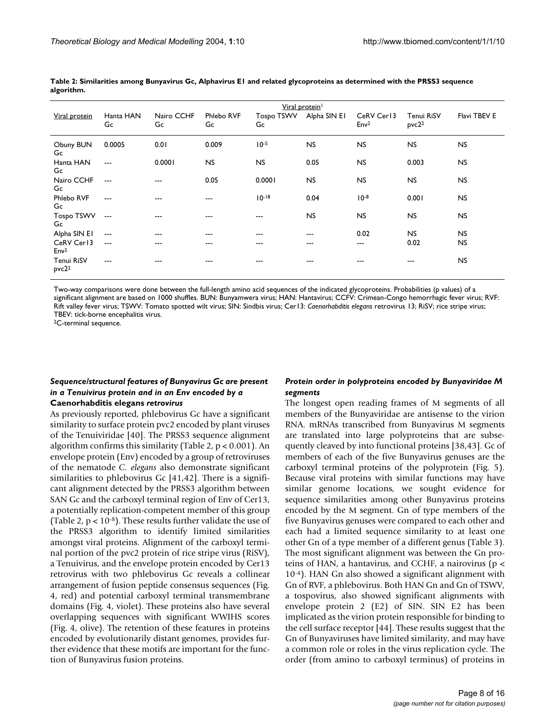|                                 | Viral protein <sup>1</sup> |                  |                  |                  |              |                                |                                 |              |  |
|---------------------------------|----------------------------|------------------|------------------|------------------|--------------|--------------------------------|---------------------------------|--------------|--|
| Viral protein                   | Hanta HAN<br>Gc            | Nairo CCHF<br>Gc | Phlebo RVF<br>Gc | Tospo TSWV<br>Gc | Alpha SIN E1 | CeRV Cer13<br>Env <sup>2</sup> | Tenui RiSV<br>pvc2 <sup>2</sup> | Flavi TBEV E |  |
| Obuny BUN<br>Gc                 | 0.0005                     | 0.01             | 0.009            | $10-5$           | <b>NS</b>    | <b>NS</b>                      | <b>NS</b>                       | <b>NS</b>    |  |
| Hanta HAN<br>Gc                 | $\overline{a}$             | 0.0001           | <b>NS</b>        | <b>NS</b>        | 0.05         | <b>NS</b>                      | 0.003                           | <b>NS</b>    |  |
| Nairo CCHF<br>Gc.               | $---$                      | ---              | 0.05             | 0.0001           | <b>NS</b>    | <b>NS</b>                      | <b>NS</b>                       | <b>NS</b>    |  |
| Phlebo RVF<br>Gc                | $\overline{a}$             | ---              | ---              | $10^{-18}$       | 0.04         | $10^{-8}$                      | 0.001                           | <b>NS</b>    |  |
| Tospo TSWV<br>Gc                | $  \sim$                   | $---$            | ---              | ---              | <b>NS</b>    | <b>NS</b>                      | <b>NS</b>                       | <b>NS</b>    |  |
| Alpha SIN E1                    | $\qquad \qquad -$          | $- - -$          | ---              | ---              | $---$        | 0.02                           | NS.                             | <b>NS</b>    |  |
| CeRV Cer13<br>Env <sup>2</sup>  | $---$                      | ---              | ---              | ---              | ---          | ---                            | 0.02                            | <b>NS</b>    |  |
| Tenui RiSV<br>pvc2 <sup>2</sup> | $---$                      | ---              | ---              | ---              | $- - -$      | ---                            | ---                             | <b>NS</b>    |  |

<span id="page-7-0"></span>**Table 2: Similarities among Bunyavirus Gc, Alphavirus E1 and related glycoproteins as determined with the PRSS3 sequence algorithm.**

Two-way comparisons were done between the full-length amino acid sequences of the indicated glycoproteins. Probabilities (p values) of a significant alignment are based on 1000 shuffles. BUN: Bunyamwera virus; HAN: Hantavirus; CCFV: Crimean-Congo hemorrhagic fever virus; RVF: Rift valley fever virus; TSWV: Tomato spotted wilt virus; SIN: Sindbis virus; Cer13: *Caenorhabditis elegans* retrovirus 13; RiSV; rice stripe virus; TBEV: tick-borne encephalitis virus.

2C-terminal sequence.

#### *Sequence/structural features of Bunyavirus Gc are present in a Tenuivirus protein and in an Env encoded by a*  **Caenorhabditis elegans** *retrovirus*

As previously reported, phlebovirus Gc have a significant similarity to surface protein pvc2 encoded by plant viruses of the Tenuiviridae [40]. The PRSS3 sequence alignment algorithm confirms this similarity (Table [2,](#page-7-0) p < 0.001). An envelope protein (Env) encoded by a group of retroviruses of the nematode *C. elegans* also demonstrate significant similarities to phlebovirus Gc [41,42]. There is a significant alignment detected by the PRSS3 algorithm between SAN Gc and the carboxyl terminal region of Env of Cer13, a potentially replication-competent member of this group (Table [2,](#page-7-0)  $p < 10^{-8}$ ). These results further validate the use of the PRSS3 algorithm to identify limited similarities amongst viral proteins. Alignment of the carboxyl terminal portion of the pvc2 protein of rice stripe virus (RiSV), a Tenuivirus, and the envelope protein encoded by Cer13 retrovirus with two phlebovirus Gc reveals a collinear arrangement of fusion peptide consensus sequences (Fig. [4,](#page-9-0) red) and potential carboxyl terminal transmembrane domains (Fig. [4](#page-9-0), violet). These proteins also have several overlapping sequences with significant WWIHS scores (Fig. [4](#page-9-0), olive). The retention of these features in proteins encoded by evolutionarily distant genomes, provides further evidence that these motifs are important for the function of Bunyavirus fusion proteins.

## *Protein order in polyproteins encoded by Bunyaviridae M segments*

The longest open reading frames of M segments of all members of the Bunyaviridae are antisense to the virion RNA. mRNAs transcribed from Bunyavirus M segments are translated into large polyproteins that are subsequently cleaved by into functional proteins [38,43]. Gc of members of each of the five Bunyavirus genuses are the carboxyl terminal proteins of the polyprotein (Fig. 5). Because viral proteins with similar functions may have similar genome locations, we sought evidence for sequence similarities among other Bunyavirus proteins encoded by the M segment. Gn of type members of the five Bunyavirus genuses were compared to each other and each had a limited sequence similarity to at least one other Gn of a type member of a different genus (Table [3\)](#page-11-0). The most significant alignment was between the Gn proteins of HAN, a hantavirus, and CCHF, a nairovirus (p < 10-4). HAN Gn also showed a significant alignment with Gn of RVF, a phlebovirus. Both HAN Gn and Gn of TSWV, a tospovirus, also showed significant alignments with envelope protein 2 (E2) of SIN. SIN E2 has been implicated as the virion protein responsible for binding to the cell surface receptor [44]. These results suggest that the Gn of Bunyaviruses have limited similarity, and may have a common role or roles in the virus replication cycle. The order (from amino to carboxyl terminus) of proteins in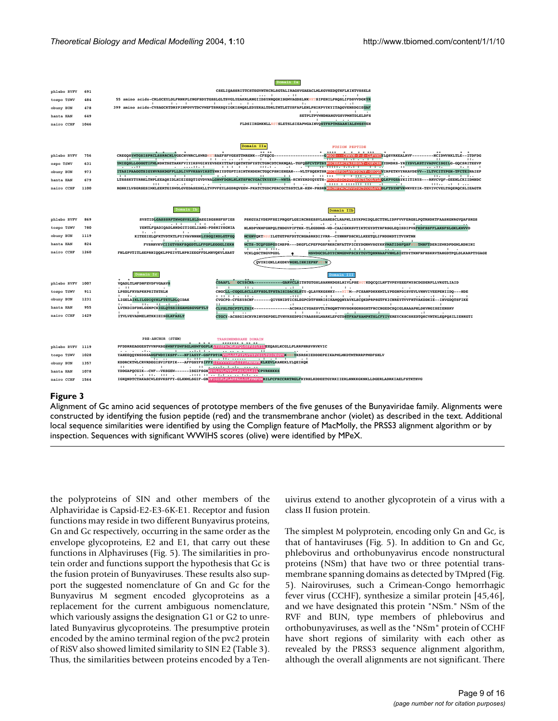|                         |      | nain                                                                                                                                                                                                                                                                                                                                                                                                                                                                                           |  |  |  |  |  |  |  |  |
|-------------------------|------|------------------------------------------------------------------------------------------------------------------------------------------------------------------------------------------------------------------------------------------------------------------------------------------------------------------------------------------------------------------------------------------------------------------------------------------------------------------------------------------------|--|--|--|--|--|--|--|--|
| phlebo RVFV             | 691  | CSELIQASSRITTCSTEGVNTKCRLSGTALIRAGSVGAEACLMLKGVKEDQTKFLKIKTVSSELS<br>$-11$<br>$\cdots$                                                                                                                                                                                                                                                                                                                                                                                                         |  |  |  |  |  |  |  |  |
| tospo TSWV              | 484  | 55 amino acids-CRLGCEYLDLFRNKPLYNGFSDYTGSSLGLTSVGLYEAKRLRNGIIDSYNRQGKISGMVAGDSLNKNETSIPENILPRQSLIFDSVVDGKYR<br><b>SALE SECTION</b><br>$\sim$<br>$\cdot$ :                                                                                                                                                                                                                                                                                                                                      |  |  |  |  |  |  |  |  |
| obuny BUN               | 478  | 399 amino acids-CVSAGCKTDRYPINPDVVTDCVWEFTSRKSQYIGKISMQSLEDYEKALTDRLTHTLETYSFAPLENLPHIKPVYKYITAQGVENSDGIEGAF<br>$\cdot$ .                                                                                                                                                                                                                                                                                                                                                                      |  |  |  |  |  |  |  |  |
| hanta HAN               | 649  | <b>SETPLTPVWNDNAHGVGSVPMHTDLELDFS</b>                                                                                                                                                                                                                                                                                                                                                                                                                                                          |  |  |  |  |  |  |  |  |
| nairo CCHF              | 1046 | FLDSIIKGMKNLLNSTSLETSLSIEAPWGAINVOSTFKPTMSAANIALSWSSVEH                                                                                                                                                                                                                                                                                                                                                                                                                                        |  |  |  |  |  |  |  |  |
|                         |      |                                                                                                                                                                                                                                                                                                                                                                                                                                                                                                |  |  |  |  |  |  |  |  |
|                         |      | Domain ITa                                                                                                                                                                                                                                                                                                                                                                                                                                                                                     |  |  |  |  |  |  |  |  |
|                         |      | <b>FUSION PEPTIDE</b><br><br>**** * * * * ***                                                                                                                                                                                                                                                                                                                                                                                                                                                  |  |  |  |  |  |  |  |  |
| phlebo RVFV             | 756  | CREGOSYWTGSISPKCLSSRRCHLVGECHVNRCLSWRDNETSAEFSFVGESTTMRENK--CFEQCG----------<br>-GWGCG---CFNVN-P-S-CLFVHTYLQSVRKEALRVF----------NCIDWVHKLTLE--ITDFDG<br><u>in die eerste verschieden van die ver</u><br>discussions are a controlled and the control of the control of the control of the control of the control of the control of the control of the control of the control of the control of the control of the control of the contr<br>$\cdot$ $\cdot$<br><b>Contract Contract Contract</b> |  |  |  |  |  |  |  |  |
| ospo TSWV               | 631  | YMIEQSLLGGGGTIFMLNDKTSETAKKFVIYIKSVGIHYEVSEKYTTAPIQSTHTDFYSTCTGNCDTCRKNQAL-TGFQDFCVTPTSYMGCEEANCFAINEGAT-CGFCRNLYDMDKS-YRIYSVLKSTIVADVCISGILG-GQCSRITEEVP<br>orra from community of a community and community<br><b>Secretary Street</b><br><b>Contract Contract</b><br><b>Contract Contract</b><br><b>Service Control</b><br>1.1.1.1.1<br>$\sim$                                                                                                                                              |  |  |  |  |  |  |  |  |
| obuny BUN               | 973  | TTASIPAAGGTSIGYNVRSKDGFPLLDLIVFVKSAVIKSTYNHIYDTGPTISINTKHDEHCTGQCPSNIEHEAN---WLTFSQERTSR <mark>AGGEBFGCLAVNTGCVF-GSCOD</mark> VIRPETKVYRKAVDEVV--ILTVCITYPGH-TFCTEINAIEP<br>the contract of the first complete the contract of the contract of the contract of the contract of the contract of<br>the property of the control of<br>the committee of the com-                                                                                                                                  |  |  |  |  |  |  |  |  |
| hanta HAN               | 679  | LTSSSKYTYRRKLTNPLEEAQSIDLHIEIEEQTIGVDVHALGHWFDGRLNLKTSFHCYGACTKYEYP--WHTA-KCHYERDYQYETS- <mark>WGCNPSDCPGVGTGCTACGLYLDQ</mark> LKPVGSAYKIITIRYS---RRVCVQF-GEENLCKIIDMNDC<br><b>Contract Contract</b><br>a a como e parroquimento de 1920                                                                                                                                                                                                                                                       |  |  |  |  |  |  |  |  |
| nairo CCHF              | 1100 | RGNKILVSGRSESIMKLEERTGISWDLGVEDASESKLLTVPVFEYLSGDRQVEEW-PKATCTGDCPERCGCTSSTCLH-KEW-PHSRMARORTTCGVGTGCTCCGLDVKDLFTDYMFVKWKVEYIK-TEVIVCVELTSQERQCSLIEAGTR                                                                                                                                                                                                                                                                                                                                        |  |  |  |  |  |  |  |  |
|                         |      |                                                                                                                                                                                                                                                                                                                                                                                                                                                                                                |  |  |  |  |  |  |  |  |
|                         |      | Domain Ib<br>Domain IIb                                                                                                                                                                                                                                                                                                                                                                                                                                                                        |  |  |  |  |  |  |  |  |
| phlebo RVFV             | 869  | SVSTIDLGASSSRFTNWGSVSLSLDAEGISGSNSFSFIES<br>PSKGYAIVDEPFSEIPROGFLGEIRCNSESSVLSAHESCLRAPNLISYKPMIDQLECTTNLIDPFVVFERGSLPOTRNDKTFAASKGNRGVQAFSKGS                                                                                                                                                                                                                                                                                                                                                 |  |  |  |  |  |  |  |  |
|                         | 780  | and the control of the first state<br>YENTLFOADIOADLHNDGITIGELIAHG-PDSHIYSGNIA                                                                                                                                                                                                                                                                                                                                                                                                                 |  |  |  |  |  |  |  |  |
| tospo TSWV<br>obuny BUN | 1119 | NLNDPVKMFGHPQLTHDGVPIFTKK-TLEGDDMS-WD-CAAIGKKSVTIKTCGYDTYRFRSGLEQISDIPVSFKDFSSFFLAKSFSLGKLKMVVD<br><b>Barrows</b><br><b>Contract State</b><br>$\cdot$                                                                                                                                                                                                                                                                                                                                          |  |  |  |  |  |  |  |  |
| hanta HAN               | 824  | KITEEIELQFKTVDTKTLPYIVAVNNHKLYSGQINDLGTFGQ<br>MCGNVOKTNSSILGTGTPKFDYTCHGASRKDIIVRR--CYNNNFDSCKLLKEETQLIFNDDHDTITVYNTNH<br><b>SECTION CONTINUES</b>                                                                                                                                                                                                                                                                                                                                             |  |  |  |  |  |  |  |  |
| nairo CCHF              | 1260 | FVSRHVKVCIIGTVSKFSQGDTLLFFGPLEGGGLIEKH<br>WCTS-TCQFGDPGDIMSPR---DKGFLCPEFPGSFRKKCNFATTPICEYDGNMVSGYKKVMATIDSFQSFNTSTMHFTDERIEWKDPDGMLRDHINI<br>$\overline{1}$<br>a contra a antigo<br><b>Contract Contract</b>                                                                                                                                                                                                                                                                                 |  |  |  |  |  |  |  |  |
|                         |      | FNLGPVTITLSEPRNIOOKLPPEIVTLHPRIEEGFFDLMHVOKVLSAST<br><b>VCKLOSCTHGVPGDL</b><br>MSWDGCDLDYYCNMGDWPSCSYTGVTOHNHAAFVNMLSIETDYTKNFHFHSKRVTAHGDTPOLDLKARPTYGAGE                                                                                                                                                                                                                                                                                                                                     |  |  |  |  |  |  |  |  |
|                         |      | OVYHIGNLLKGDKVNGHLIHKIEPHF                                                                                                                                                                                                                                                                                                                                                                                                                                                                     |  |  |  |  |  |  |  |  |
|                         |      | Domain Ic<br>Domain III                                                                                                                                                                                                                                                                                                                                                                                                                                                                        |  |  |  |  |  |  |  |  |
| phlebo RVFV             | 1007 | CDAAFLNLTGCYSCNA-----------GARVCLSITSTGTGSLSAHNKDGSLHIVLPSENGTKDQCQILHFTVPEVEEEFMYSCDGDERPLLVKGTLIAID<br><b>VOADLTLMFDNFEVDFVGAAVS</b>                                                                                                                                                                                                                                                                                                                                                         |  |  |  |  |  |  |  |  |
| tospo TSWV              | 911  | $\sim$<br>$\cdot$ $\cdot$ :<br><b>B</b> 1<br>CNGCLL-CGQGLSCLLEFFSDLTFSTAISIDACSLSTY-QLAVKKGSNKY---NITM--FCSANPDKKKMTLYPEGNPDISVEVLVNNVIVEEPENIIDQ---NDE<br>LPSDLFKVAPKKPSITSTSLN                                                                                                                                                                                                                                                                                                               |  |  |  |  |  |  |  |  |
| obuny BUN               | 1231 | <b>THE CONTRACT OF A REAL PROPERTY</b><br><b>Brading Committee</b><br>$\sim$ $\sim$<br>the contract of the state<br>$\cdots$<br>LIGELAIKLILGDIQYKLFTETLDLQIDAK<br>CVGCPD-CFESYSCNF-------QIVSNIDTICSLEGPCDTFHNRISIKAMQQNYAVKLSCQKDPRPSGTFKICNREYTVVFHTVAKDDKIE--INVGDQTSFIKE                                                                                                                                                                                                                   |  |  |  |  |  |  |  |  |
| hanta HAN               | 955  | ti i svetla stratova<br>$\cdot$ :<br>. .<br>$\ddotsc$<br>$\mathbf{r}$<br>LVTKDIDFDNLGENPCKIGLOTSSIEGAWGSGVGFTLT<br>CLVSLTECPTFLTSIK--------------ACDKAICYGAESVTLTRGQNTVKVSGKGGHSGSTFRCCHGEDCSQIGLHAAAPHLDKVNGISEIENSKV                                                                                                                                                                                                                                                                         |  |  |  |  |  |  |  |  |
| nairo CCHF              | 1429 | $\mathbf{r}$ and $\mathbf{r}$<br><b>Contract Contract Contract</b><br>المستحقق<br>$\sim$ 1<br><b>ITVLVEVADMELHTKKIEISGLKFASLT</b><br>CTGCY-ACSSGISCKVRIHVDEPDELTVHVKSEDPDIVAASSSLMARKLEFGTDSTFKAFSAMPKTSLCFYIVEREYCKSCSKEDTOKCVNTKLEOPOSILIEHKGTI                                                                                                                                                                                                                                              |  |  |  |  |  |  |  |  |
|                         |      |                                                                                                                                                                                                                                                                                                                                                                                                                                                                                                |  |  |  |  |  |  |  |  |
|                         |      |                                                                                                                                                                                                                                                                                                                                                                                                                                                                                                |  |  |  |  |  |  |  |  |
|                         |      | PRE-ANCHOR (STEM)<br><b>TRANSMEMBRANE DOMAIN</b>                                                                                                                                                                                                                                                                                                                                                                                                                                               |  |  |  |  |  |  |  |  |
| phlebo RVFV 1119        |      | ******* * ** **<br>PFDDRREAGGESTVVNPKSGSWNFFDWFSGLMSWFGGPLKLYSSFACMLHYQLGSFSSLYILEEQASLKCGLLPLRRPHRSVRVKVIC<br><u>т.</u><br>and the contractor<br>$\ddotsc$<br>______                                                                                                                                                                                                                                                                                                                          |  |  |  |  |  |  |  |  |
| tospo TSWV              | 1028 | YAHEEQQYNSDSSAWGFWDYIKSPF---NFIASYF-GSFFDTIRWLLLAFIFLVTYFCSILTSICKGYVKNESYKSRSKIEDDDEPEIKAPMLMKDTMTRRRPPMDFSHLV                                                                                                                                                                                                                                                                                                                                                                                |  |  |  |  |  |  |  |  |
| obuny BUN               | 1357 | KDDRCKTWLCRVRDEGISVIFEPIK---AFFGSYFSIFFYLLVVVVVGFDILVIFXPYLKLKEVLKANEKLYLQEIKQK<br>the control of the companion of the companion of the companion of the companion<br>and the state of the state of<br>$\mathbf{r}$<br><b>Contract Contract</b>                                                                                                                                                                                                                                                |  |  |  |  |  |  |  |  |
| hanta HAN               | 1078 | YDDGAPQCGIK--CWF--VKSGEW------ISGIFSGNWIVLIVLCVFLLFSLVLLSILCPVRKHKKS<br>a la caso as concerto de la caso de la caso de la caso de la caso de la caso de la caso de la caso de la caso                                                                                                                                                                                                                                                                                                          |  |  |  |  |  |  |  |  |
| nairo CCHF              | 1564 | IGKQNDTCTAKASCWLESVKSFFY-GLKNMLSGIF-GNVFIGIFLFLAPFALLILFFMFGWRILFCFKCCRRTRGLFKYRHLKDDEETGYRKIIERLNNKKGKNKLLDGERLADRKIAELFSTKTHVG                                                                                                                                                                                                                                                                                                                                                               |  |  |  |  |  |  |  |  |
|                         |      |                                                                                                                                                                                                                                                                                                                                                                                                                                                                                                |  |  |  |  |  |  |  |  |

#### Alignment of Gc amino acid sequence **Figure 3** s of prototype members of the five genuses of the Bunyaviridae family

Alignment of Gc amino acid sequences of prototype members of the five genuses of the Bunyaviridae family. Alignments were constructed by identifying the fusion peptide (red) and the transmembrane anchor (violet) as described in the text. Additional local sequence similarities were identified by using the Complign feature of MacMolly, the PRSS3 alignment algorithm or by inspection. Sequences with significant WWIHS scores (olive) were identified by MPeX.

the polyproteins of SIN and other members of the Alphaviridae is Capsid-E2-E3-6K-E1. Receptor and fusion functions may reside in two different Bunyavirus proteins, Gn and Gc respectively, occurring in the same order as the envelope glycoproteins, E2 and E1, that carry out these functions in Alphaviruses (Fig. 5). The similarities in protein order and functions support the hypothesis that Gc is the fusion protein of Bunyaviruses. These results also support the suggested nomenclature of Gn and Gc for the Bunyavirus M segment encoded glycoproteins as a replacement for the current ambiguous nomenclature, which variously assigns the designation G1 or G2 to unrelated Bunyavirus glycoproteins. The presumptive protein encoded by the amino terminal region of the pvc2 protein of RiSV also showed limited similarity to SIN E2 (Table [3\)](#page-11-0). Thus, the similarities between proteins encoded by a Ten-

uivirus extend to another glycoprotein of a virus with a class II fusion protein.

The simplest M polyprotein, encoding only Gn and Gc, is that of hantaviruses (Fig. 5). In addition to Gn and Gc, phlebovirus and orthobunyavirus encode nonstructural proteins (NSm) that have two or three potential transmembrane spanning domains as detected by TMpred (Fig. 5). Nairoviruses, such a Crimean-Congo hemorrhagic fever virus (CCHF), synthesize a similar protein [45,46], and we have designated this protein "NSm." NSm of the RVF and BUN, type members of phlebovirus and orthobunyaviruses, as well as the "NSm" protein of CCHF have short regions of similarity with each other as revealed by the PRSS3 sequence alignment algorithm, although the overall alignments are not significant. There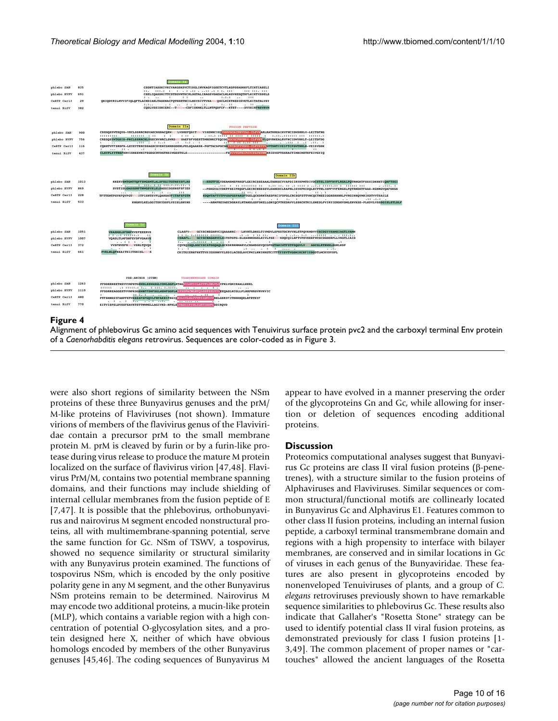<span id="page-9-0"></span>

#### Alignment of phlebovirus Gc amino acid sequences with Tenuiviru of a **Figure 4** *Caenorhabditis elegans* retrovirus s surface protein pvc2 and the carboxyl terminal Env protein

Alignment of phlebovirus Gc amino acid sequences with Tenuivirus surface protein pvc2 and the carboxyl terminal Env protein of a *Caenorhabditis elegans* retrovirus. Sequences are color-coded as in Figure 3.

were also short regions of similarity between the NSm proteins of these three Bunyavirus genuses and the prM/ M-like proteins of Flaviviruses (not shown). Immature virions of members of the flavivirus genus of the Flaviviridae contain a precursor prM to the small membrane protein M. prM is cleaved by furin or by a furin-like protease during virus release to produce the mature M protein localized on the surface of flavivirus virion [47,48]. Flavivirus PrM/M, contains two potential membrane spanning domains, and their functions may include shielding of internal cellular membranes from the fusion peptide of E [7,47]. It is possible that the phlebovirus, orthobunyavirus and nairovirus M segment encoded nonstructural proteins, all with multimembrane-spanning potential, serve the same function for Gc. NSm of TSWV, a tospovirus, showed no sequence similarity or structural similarity with any Bunyavirus protein examined. The functions of tospovirus NSm, which is encoded by the only positive polarity gene in any M segment, and the other Bunyavirus NSm proteins remain to be determined. Nairovirus M may encode two additional proteins, a mucin-like protein (MLP), which contains a variable region with a high concentration of potential O-glycosylation sites, and a protein designed here X, neither of which have obvious homologs encoded by members of the other Bunyavirus genuses [45,46]. The coding sequences of Bunyavirus M

appear to have evolved in a manner preserving the order of the glycoproteins Gn and Gc, while allowing for insertion or deletion of sequences encoding additional proteins.

#### **Discussion**

Proteomics computational analyses suggest that Bunyavirus Gc proteins are class II viral fusion proteins (β-penetrenes), with a structure similar to the fusion proteins of Alphaviruses and Flaviviruses. Similar sequences or common structural/functional motifs are collinearly located in Bunyavirus Gc and Alphavirus E1. Features common to other class II fusion proteins, including an internal fusion peptide, a carboxyl terminal transmembrane domain and regions with a high propensity to interface with bilayer membranes, are conserved and in similar locations in Gc of viruses in each genus of the Bunyaviridae. These features are also present in glycoproteins encoded by nonenveloped Tenuiviruses of plants, and a group of *C. elegans* retroviruses previously shown to have remarkable sequence similarities to phlebovirus Gc. These results also indicate that Gallaher's "Rosetta Stone" strategy can be used to identify potential class II viral fusion proteins, as demonstrated previously for class I fusion proteins [1- 3,49]. The common placement of proper names or "cartouches" allowed the ancient languages of the Rosetta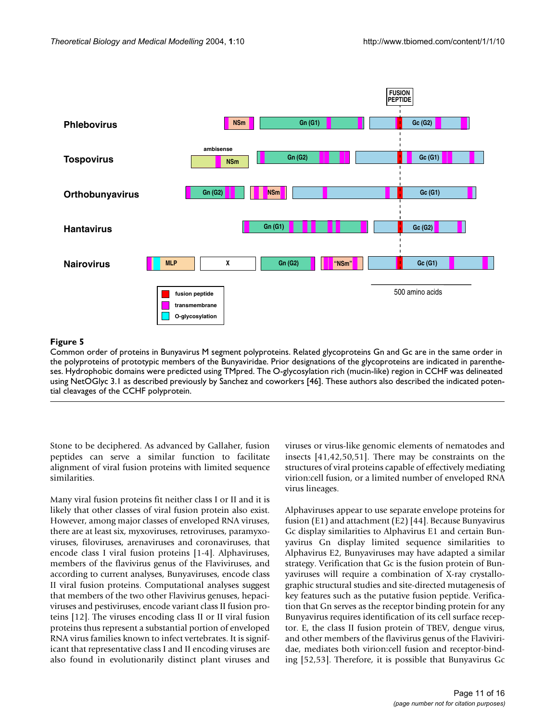

#### Figure 5

Common order of proteins in Bunyavirus M segment polyproteins. Related glycoproteins Gn and Gc are in the same order in the polyproteins of prototypic members of the Bunyaviridae. Prior designations of the glycoproteins are indicated in parentheses. Hydrophobic domains were predicted using TMpred. The O-glycosylation rich (mucin-like) region in CCHF was delineated using NetOGlyc 3.1 as described previously by Sanchez and coworkers [46]. These authors also described the indicated potential cleavages of the CCHF polyprotein.

Stone to be deciphered. As advanced by Gallaher, fusion peptides can serve a similar function to facilitate alignment of viral fusion proteins with limited sequence similarities.

Many viral fusion proteins fit neither class I or II and it is likely that other classes of viral fusion protein also exist. However, among major classes of enveloped RNA viruses, there are at least six, myxoviruses, retroviruses, paramyxoviruses, filoviruses, arenaviruses and coronaviruses, that encode class I viral fusion proteins [1-4]. Alphaviruses, members of the flavivirus genus of the Flaviviruses, and according to current analyses, Bunyaviruses, encode class II viral fusion proteins. Computational analyses suggest that members of the two other Flavivirus genuses, hepaciviruses and pestiviruses, encode variant class II fusion proteins [12]. The viruses encoding class II or II viral fusion proteins thus represent a substantial portion of enveloped RNA virus families known to infect vertebrates. It is significant that representative class I and II encoding viruses are also found in evolutionarily distinct plant viruses and viruses or virus-like genomic elements of nematodes and insects [41,42,50,51]. There may be constraints on the structures of viral proteins capable of effectively mediating virion:cell fusion, or a limited number of enveloped RNA virus lineages.

Alphaviruses appear to use separate envelope proteins for fusion (E1) and attachment (E2) [44]. Because Bunyavirus Gc display similarities to Alphavirus E1 and certain Bunyavirus Gn display limited sequence similarities to Alphavirus E2, Bunyaviruses may have adapted a similar strategy. Verification that Gc is the fusion protein of Bunyaviruses will require a combination of X-ray crystallographic structural studies and site-directed mutagenesis of key features such as the putative fusion peptide. Verification that Gn serves as the receptor binding protein for any Bunyavirus requires identification of its cell surface receptor. E, the class II fusion protein of TBEV, dengue virus, and other members of the flavivirus genus of the Flaviviridae, mediates both virion:cell fusion and receptor-binding [52,53]. Therefore, it is possible that Bunyavirus Gc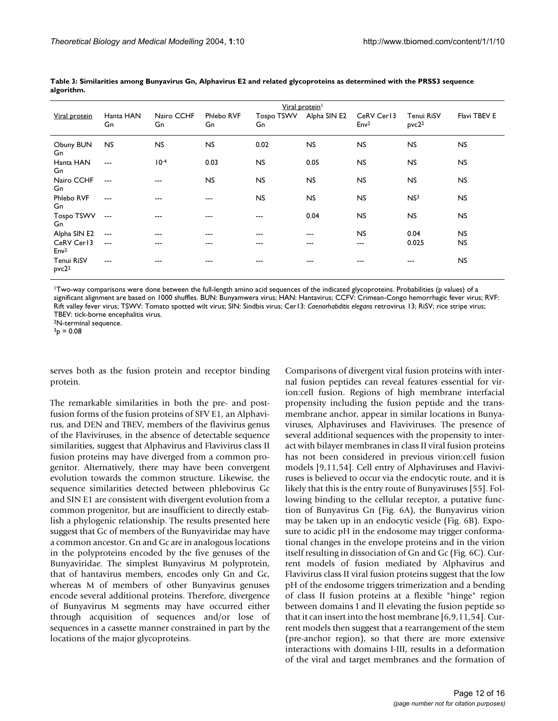|                                 | Viral protein <sup>1</sup> |                  |                  |                               |           |                                |                                 |              |  |
|---------------------------------|----------------------------|------------------|------------------|-------------------------------|-----------|--------------------------------|---------------------------------|--------------|--|
| Viral protein                   | Hanta HAN<br>Gn            | Nairo CCHF<br>Gn | Phlebo RVF<br>Gn | Tospo TSWV Alpha SIN E2<br>Gn |           | CeRV Cer13<br>Env <sup>2</sup> | Tenui RiSV<br>pvc2 <sup>2</sup> | Flavi TBEV E |  |
| Obuny BUN<br>Gn                 | <b>NS</b>                  | <b>NS</b>        | NS.              | 0.02                          | <b>NS</b> | <b>NS</b>                      | <b>NS</b>                       | <b>NS</b>    |  |
| Hanta HAN<br>Gn                 | $---$                      | $10-4$           | 0.03             | <b>NS</b>                     | 0.05      | <b>NS</b>                      | <b>NS</b>                       | <b>NS</b>    |  |
| Nairo CCHF<br>Gn                | $---$                      | ---              | <b>NS</b>        | <b>NS</b>                     | <b>NS</b> | <b>NS</b>                      | <b>NS</b>                       | <b>NS</b>    |  |
| Phlebo RVF<br>Gn                | $---$                      |                  | ---              | <b>NS</b>                     | <b>NS</b> | <b>NS</b>                      | NS <sup>3</sup>                 | <b>NS</b>    |  |
| Tospo TSWV<br>Gn                | $---$                      |                  | ---              | ---                           | 0.04      | <b>NS</b>                      | <b>NS</b>                       | <b>NS</b>    |  |
| Alpha SIN E2                    | $\overline{a}$             |                  | ---              | ---                           | ---       | <b>NS</b>                      | 0.04                            | <b>NS</b>    |  |
| CeRV Cer13<br>Env <sup>2</sup>  | $---$                      |                  | ---              | ---                           |           | ---                            | 0.025                           | <b>NS</b>    |  |
| Tenui RiSV<br>pvc2 <sup>2</sup> | $---$                      |                  |                  | ---                           |           |                                | ---                             | <b>NS</b>    |  |

<span id="page-11-0"></span>**Table 3: Similarities among Bunyavirus Gn, Alphavirus E2 and related glycoproteins as determined with the PRSS3 sequence algorithm.**

1Two-way comparisons were done between the full-length amino acid sequences of the indicated glycoproteins. Probabilities (p values) of a significant alignment are based on 1000 shuffles. BUN: Bunyamwera virus; HAN: Hantavirus; CCFV: Crimean-Congo hemorrhagic fever virus; RVF: Rift valley fever virus; TSWV: Tomato spotted wilt virus; SIN: Sindbis virus; Cer13: *Caenorhabditis elegans* retrovirus 13; RiSV; rice stripe virus; TBEV: tick-borne encephalitis virus.

2N-terminal sequence.

 $3<sub>p</sub> = 0.08$ 

serves both as the fusion protein and receptor binding protein.

The remarkable similarities in both the pre- and postfusion forms of the fusion proteins of SFV E1, an Alphavirus, and DEN and TBEV, members of the flavivirus genus of the Flaviviruses, in the absence of detectable sequence similarities, suggest that Alphavirus and Flavivirus class II fusion proteins may have diverged from a common progenitor. Alternatively, there may have been convergent evolution towards the common structure. Likewise, the sequence similarities detected between phlebovirus Gc and SIN E1 are consistent with divergent evolution from a common progenitor, but are insufficient to directly establish a phylogenic relationship. The results presented here suggest that Gc of members of the Bunyaviridae may have a common ancestor. Gn and Gc are in analogous locations in the polyproteins encoded by the five genuses of the Bunyaviridae. The simplest Bunyavirus M polyprotein, that of hantavirus members, encodes only Gn and Gc, whereas M of members of other Bunyavirus genuses encode several additional proteins. Therefore, divergence of Bunyavirus M segments may have occurred either through acquisition of sequences and/or lose of sequences in a cassette manner constrained in part by the locations of the major glycoproteins.

Comparisons of divergent viral fusion proteins with internal fusion peptides can reveal features essential for virion:cell fusion. Regions of high membrane interfacial propensity including the fusion peptide and the transmembrane anchor, appear in similar locations in Bunyaviruses, Alphaviruses and Flaviviruses. The presence of several additional sequences with the propensity to interact with bilayer membranes in class II viral fusion proteins has not been considered in previous virion:cell fusion models [9,11,54]. Cell entry of Alphaviruses and Flaviviruses is believed to occur via the endocytic route, and it is likely that this is the entry route of Bunyaviruses [55]. Following binding to the cellular receptor, a putative function of Bunyavirus Gn (Fig. 6A), the Bunyavirus virion may be taken up in an endocytic vesicle (Fig. 6B). Exposure to acidic pH in the endosome may trigger conformational changes in the envelope proteins and in the virion itself resulting in dissociation of Gn and Gc (Fig. 6C). Current models of fusion mediated by Alphavirus and Flavivirus class II viral fusion proteins suggest that the low pH of the endosome triggers trimerization and a bending of class II fusion proteins at a flexible "hinge" region between domains I and II elevating the fusion peptide so that it can insert into the host membrane [6,9,11,54]. Current models then suggest that a rearrangement of the stem (pre-anchor region), so that there are more extensive interactions with domains I-III, results in a deformation of the viral and target membranes and the formation of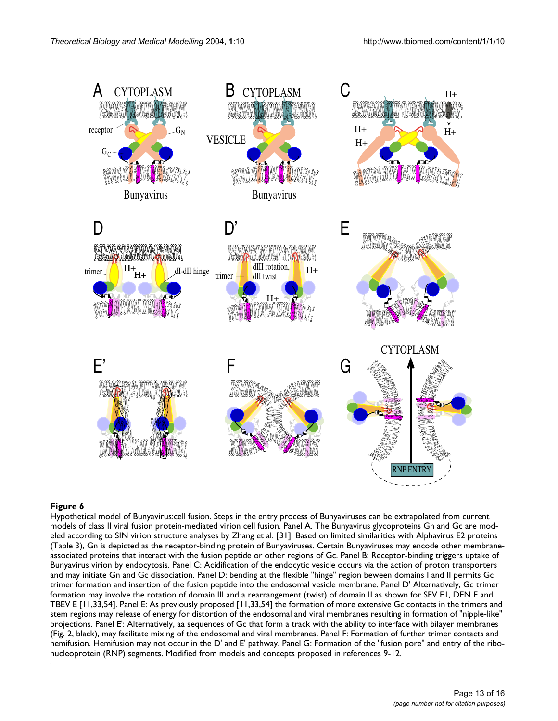

## **Figure 6**

Hypothetical model of Bunyavirus:cell fusion. Steps in the entry process of Bunyaviruses can be extrapolated from current models of class II viral fusion protein-mediated virion cell fusion. Panel A. The Bunyavirus glycoproteins Gn and Gc are modeled according to SIN virion structure analyses by Zhang et al. [31]. Based on limited similarities with Alphavirus E2 proteins (Table 3), Gn is depicted as the receptor-binding protein of Bunyaviruses. Certain Bunyaviruses may encode other membraneassociated proteins that interact with the fusion peptide or other regions of Gc. Panel B: Receptor-binding triggers uptake of Bunyavirus virion by endocytosis. Panel C: Acidification of the endocytic vesicle occurs via the action of proton transporters and may initiate Gn and Gc dissociation. Panel D: bending at the flexible "hinge" region beween domains I and II permits Gc trimer formation and insertion of the fusion peptide into the endosomal vesicle membrane. Panel D' Alternatively, Gc trimer formation may involve the rotation of domain III and a rearrangement (twist) of domain II as shown for SFV E1, DEN E and TBEV E [11,33,54]. Panel E: As previously proposed [11,33,54] the formation of more extensive Gc contacts in the trimers and stem regions may release of energy for distortion of the endosomal and viral membranes resulting in formation of "nipple-like" projections. Panel E': Alternatively, aa sequences of Gc that form a track with the ability to interface with bilayer membranes (Fig. 2, black), may facilitate mixing of the endosomal and viral membranes. Panel F: Formation of further trimer contacts and hemifusion. Hemifusion may not occur in the D' and E' pathway. Panel G: Formation of the "fusion pore" and entry of the ribonucleoprotein (RNP) segments. Modified from models and concepts proposed in references 9-12.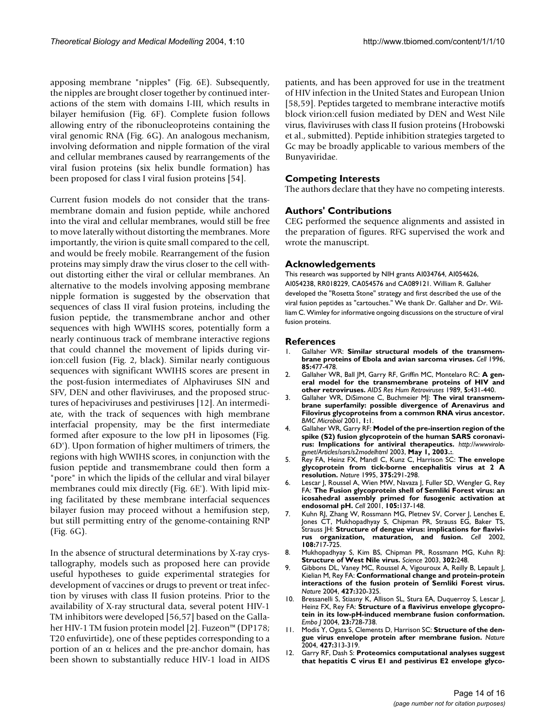apposing membrane "nipples" (Fig. 6E). Subsequently, the nipples are brought closer together by continued interactions of the stem with domains I-III, which results in bilayer hemifusion (Fig. 6F). Complete fusion follows allowing entry of the ribonucleoproteins containing the viral genomic RNA (Fig. 6G). An analogous mechanism, involving deformation and nipple formation of the viral and cellular membranes caused by rearrangements of the viral fusion proteins (six helix bundle formation) has been proposed for class I viral fusion proteins [54].

Current fusion models do not consider that the transmembrane domain and fusion peptide, while anchored into the viral and cellular membranes, would still be free to move laterally without distorting the membranes. More importantly, the virion is quite small compared to the cell, and would be freely mobile. Rearrangement of the fusion proteins may simply draw the virus closer to the cell without distorting either the viral or cellular membranes. An alternative to the models involving apposing membrane nipple formation is suggested by the observation that sequences of class II viral fusion proteins, including the fusion peptide, the transmembrane anchor and other sequences with high WWIHS scores, potentially form a nearly continuous track of membrane interactive regions that could channel the movement of lipids during virion:cell fusion (Fig. 2, black). Similar nearly contiguous sequences with significant WWIHS scores are present in the post-fusion intermediates of Alphaviruses SIN and SFV, DEN and other flaviviruses, and the proposed structures of hepaciviruses and pestiviruses [12]. An intermediate, with the track of sequences with high membrane interfacial propensity, may be the first intermediate formed after exposure to the low pH in liposomes (Fig. 6D'). Upon formation of higher multimers of trimers, the regions with high WWIHS scores, in conjunction with the fusion peptide and transmembrane could then form a "pore" in which the lipids of the cellular and viral bilayer membranes could mix directly (Fig. 6E'). With lipid mixing facilitated by these membrane interfacial sequences bilayer fusion may proceed without a hemifusion step, but still permitting entry of the genome-containing RNP (Fig. 6G).

In the absence of structural determinations by X-ray crystallography, models such as proposed here can provide useful hypotheses to guide experimental strategies for development of vaccines or drugs to prevent or treat infection by viruses with class II fusion proteins. Prior to the availability of X-ray structural data, several potent HIV-1 TM inhibitors were developed [56,57] based on the Gallaher HIV-1 TM fusion protein model [2]. Fuzeon™ (DP178; T20 enfuvirtide), one of these peptides corresponding to a portion of an α helices and the pre-anchor domain, has been shown to substantially reduce HIV-1 load in AIDS patients, and has been approved for use in the treatment of HIV infection in the United States and European Union [58,59]. Peptides targeted to membrane interactive motifs block virion:cell fusion mediated by DEN and West Nile virus, flaviviruses with class II fusion proteins (Hrobowski et al., submitted). Peptide inhibition strategies targeted to Gc may be broadly applicable to various members of the Bunyaviridae.

#### **Competing Interests**

The authors declare that they have no competing interests.

#### **Authors' Contributions**

CEG performed the sequence alignments and assisted in the preparation of figures. RFG supervised the work and wrote the manuscript.

#### **Acknowledgements**

This research was supported by NIH grants AI034764, AI054626, AI054238, RR018229, CA054576 and CA089121. William R. Gallaher developed the "Rosetta Stone" strategy and first described the use of the viral fusion peptides as "cartouches." We thank Dr. Gallaher and Dr. William C. Wimley for informative ongoing discussions on the structure of viral fusion proteins.

#### **References**

- 1. Gallaher WR: **[Similar structural models of the transmem](http://www.ncbi.nlm.nih.gov/entrez/query.fcgi?cmd=Retrieve&db=PubMed&dopt=Abstract&list_uids=8653783)[brane proteins of Ebola and avian sarcoma viruses.](http://www.ncbi.nlm.nih.gov/entrez/query.fcgi?cmd=Retrieve&db=PubMed&dopt=Abstract&list_uids=8653783)** *Cell* 1996, **85:**477-478.
- 2. Gallaher WR, Ball JM, Garry RF, Griffin MC, Montelaro RC: **[A gen](http://www.ncbi.nlm.nih.gov/entrez/query.fcgi?cmd=Retrieve&db=PubMed&dopt=Abstract&list_uids=2788443)[eral model for the transmembrane proteins of HIV and](http://www.ncbi.nlm.nih.gov/entrez/query.fcgi?cmd=Retrieve&db=PubMed&dopt=Abstract&list_uids=2788443) [other retroviruses.](http://www.ncbi.nlm.nih.gov/entrez/query.fcgi?cmd=Retrieve&db=PubMed&dopt=Abstract&list_uids=2788443)** *AIDS Res Hum Retroviruses* 1989, **5:**431-440.
- 3. Gallaher WR, DiSimone C, Buchmeier MJ: **[The viral transmem](http://www.ncbi.nlm.nih.gov/entrez/query.fcgi?cmd=Retrieve&db=PubMed&dopt=Abstract&list_uids=11208257)[brane superfamily: possible divergence of Arenavirus and](http://www.ncbi.nlm.nih.gov/entrez/query.fcgi?cmd=Retrieve&db=PubMed&dopt=Abstract&list_uids=11208257) Filovirus glycoproteins from a common RNA virus ancestor.** *BMC Microbiol* 2001, **1:**1.
- 4. Gallaher WR, Garry RF: **Model of the pre-insertion region of the spike (S2) fusion glycoprotein of the human SARS coronavirus: Implications for antiviral therapeutics.** *http://wwwvirologynet/Articles/sars/s2modelhtml* 2003, **May 1, 2003.:**.
- 5. Rey FA, Heinz FX, Mandl C, Kunz C, Harrison SC: **[The envelope](http://www.ncbi.nlm.nih.gov/entrez/query.fcgi?cmd=Retrieve&db=PubMed&dopt=Abstract&list_uids=7753193) [glycoprotein from tick-borne encephalitis virus at 2 A](http://www.ncbi.nlm.nih.gov/entrez/query.fcgi?cmd=Retrieve&db=PubMed&dopt=Abstract&list_uids=7753193) [resolution.](http://www.ncbi.nlm.nih.gov/entrez/query.fcgi?cmd=Retrieve&db=PubMed&dopt=Abstract&list_uids=7753193)** *Nature* 1995, **375:**291-298.
- 6. Lescar J, Roussel A, Wien MW, Navaza J, Fuller SD, Wengler G, Rey FA: **[The Fusion glycoprotein shell of Semliki Forest virus: an](http://www.ncbi.nlm.nih.gov/entrez/query.fcgi?cmd=Retrieve&db=PubMed&dopt=Abstract&list_uids=11301009) [icosahedral assembly primed for fusogenic activation at](http://www.ncbi.nlm.nih.gov/entrez/query.fcgi?cmd=Retrieve&db=PubMed&dopt=Abstract&list_uids=11301009) [endosomal pH.](http://www.ncbi.nlm.nih.gov/entrez/query.fcgi?cmd=Retrieve&db=PubMed&dopt=Abstract&list_uids=11301009)** *Cell* 2001, **105:**137-148.
- 7. Kuhn RJ, Zhang W, Rossmann MG, Pletnev SV, Corver J, Lenches E, Jones CT, Mukhopadhyay S, Chipman PR, Strauss EG, Baker TS, Strauss JH: **[Structure of dengue virus: implications for flavivi](http://www.ncbi.nlm.nih.gov/entrez/query.fcgi?cmd=Retrieve&db=PubMed&dopt=Abstract&list_uids=11893341)[rus organization, maturation, and fusion.](http://www.ncbi.nlm.nih.gov/entrez/query.fcgi?cmd=Retrieve&db=PubMed&dopt=Abstract&list_uids=11893341)** *Cell* 2002, **108:**717-725.
- 8. Mukhopadhyay S, Kim BS, Chipman PR, Rossmann MG, Kuhn RJ: **[Structure of West Nile virus.](http://www.ncbi.nlm.nih.gov/entrez/query.fcgi?cmd=Retrieve&db=PubMed&dopt=Abstract&list_uids=14551429)** *Science* 2003, **302:**248.
- 9. Gibbons DL, Vaney MC, Roussel A, Vigouroux A, Reilly B, Lepault J, Kielian M, Rey FA: **[Conformational change and protein-protein](http://www.ncbi.nlm.nih.gov/entrez/query.fcgi?cmd=Retrieve&db=PubMed&dopt=Abstract&list_uids=14737160) [interactions of the fusion protein of Semliki Forest virus.](http://www.ncbi.nlm.nih.gov/entrez/query.fcgi?cmd=Retrieve&db=PubMed&dopt=Abstract&list_uids=14737160)** *Nature* 2004, **427:**320-325.
- 10. Bressanelli S, Stiasny K, Allison SL, Stura EA, Duquerroy S, Lescar J, Heinz FX, Rey FA: **[Structure of a flavivirus envelope glycopro](http://www.ncbi.nlm.nih.gov/entrez/query.fcgi?cmd=Retrieve&db=PubMed&dopt=Abstract&list_uids=14963486)[tein in its low-pH-induced membrane fusion conformation.](http://www.ncbi.nlm.nih.gov/entrez/query.fcgi?cmd=Retrieve&db=PubMed&dopt=Abstract&list_uids=14963486)** *Embo J* 2004, **23:**728-738.
- 11. Modis Y, Ogata S, Clements D, Harrison SC: **[Structure of the den](http://www.ncbi.nlm.nih.gov/entrez/query.fcgi?cmd=Retrieve&db=PubMed&dopt=Abstract&list_uids=14737159)[gue virus envelope protein after membrane fusion.](http://www.ncbi.nlm.nih.gov/entrez/query.fcgi?cmd=Retrieve&db=PubMed&dopt=Abstract&list_uids=14737159)** *Nature* 2004, **427:**313-319.
- 12. Garry RF, Dash S: **[Proteomics computational analyses suggest](http://www.ncbi.nlm.nih.gov/entrez/query.fcgi?cmd=Retrieve&db=PubMed&dopt=Abstract&list_uids=12667795) [that hepatitis C virus E1 and pestivirus E2 envelope glyco](http://www.ncbi.nlm.nih.gov/entrez/query.fcgi?cmd=Retrieve&db=PubMed&dopt=Abstract&list_uids=12667795)-**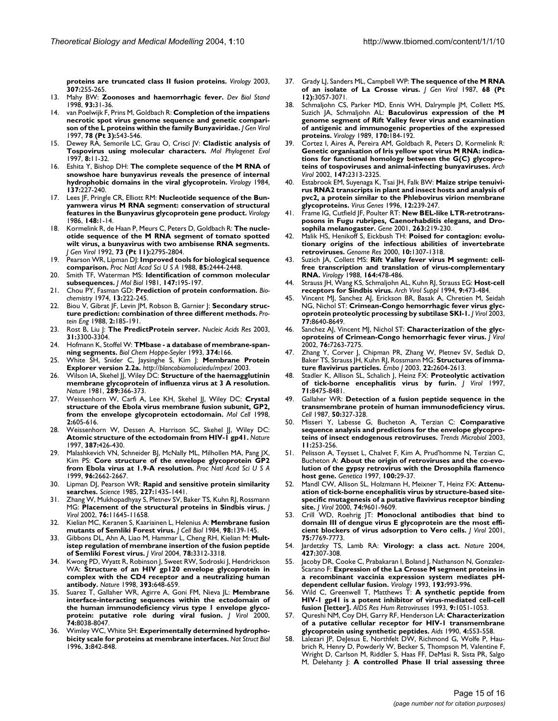**[proteins are truncated class II fusion proteins.](http://www.ncbi.nlm.nih.gov/entrez/query.fcgi?cmd=Retrieve&db=PubMed&dopt=Abstract&list_uids=12667795)** *Virology* 2003, **307:**255-265.

- 13. Mahy BW: **[Zoonoses and haemorrhagic fever.](http://www.ncbi.nlm.nih.gov/entrez/query.fcgi?cmd=Retrieve&db=PubMed&dopt=Abstract&list_uids=9737374)** *Dev Biol Stand* 1998, **93:**31-36.
- 14. van Poelwijk F, Prins M, Goldbach R: **Completion of the impatiens necrotic spot virus genome sequence and genetic comparison of the L proteins within the family Bunyaviridae.** *J Gen Virol* 1997, **78 (Pt 3):**543-546.
- 15. Dewey RA, Semorile LC, Grau O, Crisci JV: **[Cladistic analysis of](http://www.ncbi.nlm.nih.gov/entrez/query.fcgi?cmd=Retrieve&db=PubMed&dopt=Abstract&list_uids=9242593) [Tospovirus using molecular characters.](http://www.ncbi.nlm.nih.gov/entrez/query.fcgi?cmd=Retrieve&db=PubMed&dopt=Abstract&list_uids=9242593)** *Mol Phylogenet Evol* 1997, **8:**11-32.
- 16. Eshita Y, Bishop DH: **[The complete sequence of the M RNA of](http://www.ncbi.nlm.nih.gov/entrez/query.fcgi?cmd=Retrieve&db=PubMed&dopt=Abstract&list_uids=6091326) [snowshoe hare bunyavirus reveals the presence of internal](http://www.ncbi.nlm.nih.gov/entrez/query.fcgi?cmd=Retrieve&db=PubMed&dopt=Abstract&list_uids=6091326) [hydrophobic domains in the viral glycoprotein.](http://www.ncbi.nlm.nih.gov/entrez/query.fcgi?cmd=Retrieve&db=PubMed&dopt=Abstract&list_uids=6091326)** *Virology* 1984, **137:**227-240.
- 17. Lees JF, Pringle CR, Elliott RM: **[Nucleotide sequence of the Bun](http://www.ncbi.nlm.nih.gov/entrez/query.fcgi?cmd=Retrieve&db=PubMed&dopt=Abstract&list_uids=3753629)[yamwera virus M RNA segment: conservation of structural](http://www.ncbi.nlm.nih.gov/entrez/query.fcgi?cmd=Retrieve&db=PubMed&dopt=Abstract&list_uids=3753629) [features in the Bunyavirus glycoprotein gene product.](http://www.ncbi.nlm.nih.gov/entrez/query.fcgi?cmd=Retrieve&db=PubMed&dopt=Abstract&list_uids=3753629)** *Virology* 1986, **148:**1-14.
- Kormelink R, de Haan P, Meurs C, Peters D, Goldbach R: The nucle**otide sequence of the M RNA segment of tomato spotted wilt virus, a bunyavirus with two ambisense RNA segments.** *J Gen Virol* 1992, **73 (Pt 11):**2795-2804.
- 19. Pearson WR, Lipman DJ: **[Improved tools for biological sequence](http://www.ncbi.nlm.nih.gov/entrez/query.fcgi?cmd=Retrieve&db=PubMed&dopt=Abstract&list_uids=3162770) [comparison.](http://www.ncbi.nlm.nih.gov/entrez/query.fcgi?cmd=Retrieve&db=PubMed&dopt=Abstract&list_uids=3162770)** *Proc Natl Acad Sci U S A* 1988, **85:**2444-2448.
- 20. Smith TF, Waterman MS: **[Identification of common molecular](http://www.ncbi.nlm.nih.gov/entrez/query.fcgi?cmd=Retrieve&db=PubMed&dopt=Abstract&list_uids=7265238) [subsequences.](http://www.ncbi.nlm.nih.gov/entrez/query.fcgi?cmd=Retrieve&db=PubMed&dopt=Abstract&list_uids=7265238)** *J Mol Biol* 1981, **147:**195-197.
- 21. Chou PY, Fasman GD: **[Prediction of protein conformation.](http://www.ncbi.nlm.nih.gov/entrez/query.fcgi?cmd=Retrieve&db=PubMed&dopt=Abstract&list_uids=4358940)** *Biochemistry* 1974, **13:**222-245.
- 22. Biou V, Gibrat JF, Levin JM, Robson B, Garnier J: **[Secondary struc](http://www.ncbi.nlm.nih.gov/entrez/query.fcgi?cmd=Retrieve&db=PubMed&dopt=Abstract&list_uids=3237683)[ture prediction: combination of three different methods.](http://www.ncbi.nlm.nih.gov/entrez/query.fcgi?cmd=Retrieve&db=PubMed&dopt=Abstract&list_uids=3237683)** *Protein Eng* 1988, **2:**185-191.
- 23. Rost B, Liu J: **[The PredictProtein server.](http://www.ncbi.nlm.nih.gov/entrez/query.fcgi?cmd=Retrieve&db=PubMed&dopt=Abstract&list_uids=12824312)** *Nucleic Acids Res* 2003, **31:**3300-3304.
- 24. Hofmann K, Stoffel W: **TMbase a database of membrane-spanning segments.** *Biol Chem Hoppe-Seyler* 1993, **374:**166.
- 25. White SH, Snider C, Jaysinghe S, Kim J: **Membrane Protein Explorer version 2.2a.** *http://blancobiomoluciedu/mpex/* 2003.
- 26. Wilson IA, Skehel JJ, Wiley DC: **[Structure of the haemagglutinin](http://www.ncbi.nlm.nih.gov/entrez/query.fcgi?cmd=Retrieve&db=PubMed&dopt=Abstract&list_uids=7464906) [membrane glycoprotein of influenza virus at 3 A resolution.](http://www.ncbi.nlm.nih.gov/entrez/query.fcgi?cmd=Retrieve&db=PubMed&dopt=Abstract&list_uids=7464906)** *Nature* 1981, **289:**366-373.
- 27. Weissenhorn W, Carfi A, Lee KH, Skehel JJ, Wiley DC: **[Crystal](http://www.ncbi.nlm.nih.gov/entrez/query.fcgi?cmd=Retrieve&db=PubMed&dopt=Abstract&list_uids=9844633) [structure of the Ebola virus membrane fusion subunit, GP2,](http://www.ncbi.nlm.nih.gov/entrez/query.fcgi?cmd=Retrieve&db=PubMed&dopt=Abstract&list_uids=9844633) [from the envelope glycoprotein ectodomain.](http://www.ncbi.nlm.nih.gov/entrez/query.fcgi?cmd=Retrieve&db=PubMed&dopt=Abstract&list_uids=9844633)** *Mol Cell* 1998, **2:**605-616.
- Weissenhorn W, Dessen A, Harrison SC, Skehel JJ, Wiley DC: **[Atomic structure of the ectodomain from HIV-1 gp41.](http://www.ncbi.nlm.nih.gov/entrez/query.fcgi?cmd=Retrieve&db=PubMed&dopt=Abstract&list_uids=9163431)** *Nature* 1997, **387:**426-430.
- 29. Malashkevich VN, Schneider BJ, McNally ML, Milhollen MA, Pang JX, Kim PS: **[Core structure of the envelope glycoprotein GP2](http://www.ncbi.nlm.nih.gov/entrez/query.fcgi?cmd=Retrieve&db=PubMed&dopt=Abstract&list_uids=10077567) [from Ebola virus at 1.9-A resolution.](http://www.ncbi.nlm.nih.gov/entrez/query.fcgi?cmd=Retrieve&db=PubMed&dopt=Abstract&list_uids=10077567)** *Proc Natl Acad Sci U S A* 1999, **96:**2662-2667.
- 30. Lipman DJ, Pearson WR: **[Rapid and sensitive protein similarity](http://www.ncbi.nlm.nih.gov/entrez/query.fcgi?cmd=Retrieve&db=PubMed&dopt=Abstract&list_uids=2983426) [searches.](http://www.ncbi.nlm.nih.gov/entrez/query.fcgi?cmd=Retrieve&db=PubMed&dopt=Abstract&list_uids=2983426)** *Science* 1985, **227:**1435-1441.
- Zhang W, Mukhopadhyay S, Pletnev SV, Baker TS, Kuhn RJ, Rossmann MG: **[Placement of the structural proteins in Sindbis virus.](http://www.ncbi.nlm.nih.gov/entrez/query.fcgi?cmd=Retrieve&db=PubMed&dopt=Abstract&list_uids=12388725)** *J Virol* 2002, **76:**11645-11658.
- 32. Kielian MC, Keranen S, Kaariainen L, Helenius A: **[Membrane fusion](http://www.ncbi.nlm.nih.gov/entrez/query.fcgi?cmd=Retrieve&db=PubMed&dopt=Abstract&list_uids=6707081) [mutants of Semliki Forest virus.](http://www.ncbi.nlm.nih.gov/entrez/query.fcgi?cmd=Retrieve&db=PubMed&dopt=Abstract&list_uids=6707081)** *J Cell Biol* 1984, **98:**139-145.
- 33. Gibbons DL, Ahn A, Liao M, Hammar L, Cheng RH, Kielian M: **[Mult](http://www.ncbi.nlm.nih.gov/entrez/query.fcgi?cmd=Retrieve&db=PubMed&dopt=Abstract&list_uids=15016852)[istep regulation of membrane insertion of the fusion peptide](http://www.ncbi.nlm.nih.gov/entrez/query.fcgi?cmd=Retrieve&db=PubMed&dopt=Abstract&list_uids=15016852) [of Semliki Forest virus.](http://www.ncbi.nlm.nih.gov/entrez/query.fcgi?cmd=Retrieve&db=PubMed&dopt=Abstract&list_uids=15016852)** *J Virol* 2004, **78:**3312-3318.
- Kwong PD, Wyatt R, Robinson J, Sweet RW, Sodroski J, Hendrickson WA: **[Structure of an HIV gp120 envelope glycoprotein in](http://www.ncbi.nlm.nih.gov/entrez/query.fcgi?cmd=Retrieve&db=PubMed&dopt=Abstract&list_uids=9641677) [complex with the CD4 receptor and a neutralizing human](http://www.ncbi.nlm.nih.gov/entrez/query.fcgi?cmd=Retrieve&db=PubMed&dopt=Abstract&list_uids=9641677) [antibody.](http://www.ncbi.nlm.nih.gov/entrez/query.fcgi?cmd=Retrieve&db=PubMed&dopt=Abstract&list_uids=9641677)** *Nature* 1998, **393:**648-659.
- 35. Suarez T, Gallaher WR, Agirre A, Goni FM, Nieva JL: **[Membrane](http://www.ncbi.nlm.nih.gov/entrez/query.fcgi?cmd=Retrieve&db=PubMed&dopt=Abstract&list_uids=10933713) interface-interacting sequences within the ectodomain of [the human immunodeficiency virus type 1 envelope glyco](http://www.ncbi.nlm.nih.gov/entrez/query.fcgi?cmd=Retrieve&db=PubMed&dopt=Abstract&list_uids=10933713)[protein: putative role during viral fusion.](http://www.ncbi.nlm.nih.gov/entrez/query.fcgi?cmd=Retrieve&db=PubMed&dopt=Abstract&list_uids=10933713)** *J Virol* 2000, **74:**8038-8047.
- 36. Wimley WC, White SH: **[Experimentally determined hydropho](http://www.ncbi.nlm.nih.gov/entrez/query.fcgi?cmd=Retrieve&db=PubMed&dopt=Abstract&list_uids=8836100)[bicity scale for proteins at membrane interfaces.](http://www.ncbi.nlm.nih.gov/entrez/query.fcgi?cmd=Retrieve&db=PubMed&dopt=Abstract&list_uids=8836100)** *Nat Struct Biol* 1996, **3:**842-848.
- 37. Grady LJ, Sanders ML, Campbell WP: **The sequence of the M RNA of an isolate of La Crosse virus.** *J Gen Virol* 1987, **68 (Pt 12):**3057-3071.
- 38. Schmaljohn CS, Parker MD, Ennis WH, Dalrymple JM, Collett MS, Suzich JA, Schmaljohn AL: **[Baculovirus expression of the M](http://www.ncbi.nlm.nih.gov/entrez/query.fcgi?cmd=Retrieve&db=PubMed&dopt=Abstract&list_uids=2655274) genome segment of Rift Valley fever virus and examination [of antigenic and immunogenic properties of the expressed](http://www.ncbi.nlm.nih.gov/entrez/query.fcgi?cmd=Retrieve&db=PubMed&dopt=Abstract&list_uids=2655274) [proteins.](http://www.ncbi.nlm.nih.gov/entrez/query.fcgi?cmd=Retrieve&db=PubMed&dopt=Abstract&list_uids=2655274)** *Virology* 1989, **170:**184-192.
- 39. Cortez I, Aires A, Pereira AM, Goldbach R, Peters D, Kormelink R: **Genetic organisation of Iris yellow spot virus M RNA: indica[tions for functional homology between the G\(C\) glycopro](http://www.ncbi.nlm.nih.gov/entrez/query.fcgi?cmd=Retrieve&db=PubMed&dopt=Abstract&list_uids=12491100)[teins of tospoviruses and animal-infecting bunyaviruses.](http://www.ncbi.nlm.nih.gov/entrez/query.fcgi?cmd=Retrieve&db=PubMed&dopt=Abstract&list_uids=12491100)** *Arch Virol* 2002, **147:**2313-2325.
- 40. Estabrook EM, Suyenaga K, Tsai JH, Falk BW: **[Maize stripe tenuivi](http://www.ncbi.nlm.nih.gov/entrez/query.fcgi?cmd=Retrieve&db=PubMed&dopt=Abstract&list_uids=8883361)[rus RNA2 transcripts in plant and insect hosts and analysis of](http://www.ncbi.nlm.nih.gov/entrez/query.fcgi?cmd=Retrieve&db=PubMed&dopt=Abstract&list_uids=8883361) pvc2, a protein similar to the Phlebovirus virion membrane [glycoproteins.](http://www.ncbi.nlm.nih.gov/entrez/query.fcgi?cmd=Retrieve&db=PubMed&dopt=Abstract&list_uids=8883361)** *Virus Genes* 1996, **12:**239-247.
- 41. Frame IG, Cutfield JF, Poulter RT: **[New BEL-like LTR-retrotrans](http://www.ncbi.nlm.nih.gov/entrez/query.fcgi?cmd=Retrieve&db=PubMed&dopt=Abstract&list_uids=11223261)[posons in Fugu rubripes, Caenorhabditis elegans, and Dro](http://www.ncbi.nlm.nih.gov/entrez/query.fcgi?cmd=Retrieve&db=PubMed&dopt=Abstract&list_uids=11223261)[sophila melanogaster.](http://www.ncbi.nlm.nih.gov/entrez/query.fcgi?cmd=Retrieve&db=PubMed&dopt=Abstract&list_uids=11223261)** *Gene* 2001, **263:**219-230.
- 42. Malik HS, Henikoff S, Eickbush TH: **[Poised for contagion: evolu](http://www.ncbi.nlm.nih.gov/entrez/query.fcgi?cmd=Retrieve&db=PubMed&dopt=Abstract&list_uids=10984449)[tionary origins of the infectious abilities of invertebrate](http://www.ncbi.nlm.nih.gov/entrez/query.fcgi?cmd=Retrieve&db=PubMed&dopt=Abstract&list_uids=10984449) [retroviruses.](http://www.ncbi.nlm.nih.gov/entrez/query.fcgi?cmd=Retrieve&db=PubMed&dopt=Abstract&list_uids=10984449)** *Genome Res* 2000, **10:**1307-1318.
- 43. Suzich JA, Collett MS: **[Rift Valley fever virus M segment: cell](http://www.ncbi.nlm.nih.gov/entrez/query.fcgi?cmd=Retrieve&db=PubMed&dopt=Abstract&list_uids=3285574)[free transcription and translation of virus-complementary](http://www.ncbi.nlm.nih.gov/entrez/query.fcgi?cmd=Retrieve&db=PubMed&dopt=Abstract&list_uids=3285574) [RNA.](http://www.ncbi.nlm.nih.gov/entrez/query.fcgi?cmd=Retrieve&db=PubMed&dopt=Abstract&list_uids=3285574)** *Virology* 1988, **164:**478-486.
- 44. Strauss JH, Wang KS, Schmaljohn AL, Kuhn RJ, Strauss EG: **[Host-cell](http://www.ncbi.nlm.nih.gov/entrez/query.fcgi?cmd=Retrieve&db=PubMed&dopt=Abstract&list_uids=7913360) [receptors for Sindbis virus.](http://www.ncbi.nlm.nih.gov/entrez/query.fcgi?cmd=Retrieve&db=PubMed&dopt=Abstract&list_uids=7913360)** *Arch Virol Suppl* 1994, **9:**473-484.
- 45. Vincent MJ, Sanchez AJ, Erickson BR, Basak A, Chretien M, Seidah NG, Nichol ST: **[Crimean-Congo hemorrhagic fever virus glyc](http://www.ncbi.nlm.nih.gov/entrez/query.fcgi?cmd=Retrieve&db=PubMed&dopt=Abstract&list_uids=12885882)[oprotein proteolytic processing by subtilase SKI-1.](http://www.ncbi.nlm.nih.gov/entrez/query.fcgi?cmd=Retrieve&db=PubMed&dopt=Abstract&list_uids=12885882)** *J Virol* 2003, **77:**8640-8649.
- 46. Sanchez AJ, Vincent MJ, Nichol ST: **[Characterization of the glyc](http://www.ncbi.nlm.nih.gov/entrez/query.fcgi?cmd=Retrieve&db=PubMed&dopt=Abstract&list_uids=12072526)[oproteins of Crimean-Congo hemorrhagic fever virus.](http://www.ncbi.nlm.nih.gov/entrez/query.fcgi?cmd=Retrieve&db=PubMed&dopt=Abstract&list_uids=12072526)** *J Virol* 2002, **76:**7263-7275.
- 47. Zhang Y, Corver J, Chipman PR, Zhang W, Pletnev SV, Sedlak D, Baker TS, Strauss JH, Kuhn RJ, Rossmann MG: **[Structures of imma](http://www.ncbi.nlm.nih.gov/entrez/query.fcgi?cmd=Retrieve&db=PubMed&dopt=Abstract&list_uids=12773377)[ture flavivirus particles.](http://www.ncbi.nlm.nih.gov/entrez/query.fcgi?cmd=Retrieve&db=PubMed&dopt=Abstract&list_uids=12773377)** *Embo J* 2003, **22:**2604-2613.
- 48. Stadler K, Allison SL, Schalich J, Heinz FX: **[Proteolytic activation](http://www.ncbi.nlm.nih.gov/entrez/query.fcgi?cmd=Retrieve&db=PubMed&dopt=Abstract&list_uids=9343204) [of tick-borne encephalitis virus by furin.](http://www.ncbi.nlm.nih.gov/entrez/query.fcgi?cmd=Retrieve&db=PubMed&dopt=Abstract&list_uids=9343204)** *J Virol* 1997, **71:**8475-8481.
- 49. Gallaher WR: **[Detection of a fusion peptide sequence in the](http://www.ncbi.nlm.nih.gov/entrez/query.fcgi?cmd=Retrieve&db=PubMed&dopt=Abstract&list_uids=3496970) [transmembrane protein of human immunodeficiency virus.](http://www.ncbi.nlm.nih.gov/entrez/query.fcgi?cmd=Retrieve&db=PubMed&dopt=Abstract&list_uids=3496970)** *Cell* 1987, **50:**327-328.
- 50. Misseri Y, Labesse G, Bucheton A, Terzian C: **[Comparative](http://www.ncbi.nlm.nih.gov/entrez/query.fcgi?cmd=Retrieve&db=PubMed&dopt=Abstract&list_uids=12823940) [sequence analysis and predictions for the envelope glycopro](http://www.ncbi.nlm.nih.gov/entrez/query.fcgi?cmd=Retrieve&db=PubMed&dopt=Abstract&list_uids=12823940)[teins of insect endogenous retroviruses.](http://www.ncbi.nlm.nih.gov/entrez/query.fcgi?cmd=Retrieve&db=PubMed&dopt=Abstract&list_uids=12823940)** *Trends Microbiol* 2003, **11:**253-256.
- 51. Pelisson A, Teysset L, Chalvet F, Kim A, Prud'homme N, Terzian C, Bucheton A: **[About the origin of retroviruses and the co-evo](http://www.ncbi.nlm.nih.gov/entrez/query.fcgi?cmd=Retrieve&db=PubMed&dopt=Abstract&list_uids=9440256)[lution of the gypsy retrovirus with the Drosophila flamenco](http://www.ncbi.nlm.nih.gov/entrez/query.fcgi?cmd=Retrieve&db=PubMed&dopt=Abstract&list_uids=9440256) [host gene.](http://www.ncbi.nlm.nih.gov/entrez/query.fcgi?cmd=Retrieve&db=PubMed&dopt=Abstract&list_uids=9440256)** *Genetica* 1997, **100:**29-37.
- 52. Mandl CW, Allison SL, Holzmann H, Meixner T, Heinz FX: **[Attenu](http://www.ncbi.nlm.nih.gov/entrez/query.fcgi?cmd=Retrieve&db=PubMed&dopt=Abstract&list_uids=11000232)[ation of tick-borne encephalitis virus by structure-based site](http://www.ncbi.nlm.nih.gov/entrez/query.fcgi?cmd=Retrieve&db=PubMed&dopt=Abstract&list_uids=11000232)specific mutagenesis of a putative flavivirus receptor binding [site.](http://www.ncbi.nlm.nih.gov/entrez/query.fcgi?cmd=Retrieve&db=PubMed&dopt=Abstract&list_uids=11000232)** *J Virol* 2000, **74:**9601-9609.
- 53. Crill WD, Roehrig JT: **[Monoclonal antibodies that bind to](http://www.ncbi.nlm.nih.gov/entrez/query.fcgi?cmd=Retrieve&db=PubMed&dopt=Abstract&list_uids=11462053) [domain III of dengue virus E glycoprotein are the most effi](http://www.ncbi.nlm.nih.gov/entrez/query.fcgi?cmd=Retrieve&db=PubMed&dopt=Abstract&list_uids=11462053)[cient blockers of virus adsorption to Vero cells.](http://www.ncbi.nlm.nih.gov/entrez/query.fcgi?cmd=Retrieve&db=PubMed&dopt=Abstract&list_uids=11462053)** *J Virol* 2001, **75:**7769-7773.
- 54. Jardetzky TS, Lamb RA: **[Virology: a class act.](http://www.ncbi.nlm.nih.gov/entrez/query.fcgi?cmd=Retrieve&db=PubMed&dopt=Abstract&list_uids=14737155)** *Nature* 2004, **427:**307-308.
- Jacoby DR, Cooke C, Prabakaran I, Boland J, Nathanson N, Gonzalez-Scarano F: **[Expression of the La Crosse M segment proteins in](http://www.ncbi.nlm.nih.gov/entrez/query.fcgi?cmd=Retrieve&db=PubMed&dopt=Abstract&list_uids=8460503) [a recombinant vaccinia expression system mediates pH](http://www.ncbi.nlm.nih.gov/entrez/query.fcgi?cmd=Retrieve&db=PubMed&dopt=Abstract&list_uids=8460503)[dependent cellular fusion.](http://www.ncbi.nlm.nih.gov/entrez/query.fcgi?cmd=Retrieve&db=PubMed&dopt=Abstract&list_uids=8460503)** *Virology* 1993, **193:**993-996.
- 56. Wild C, Greenwell T, Matthews T: **[A synthetic peptide from](http://www.ncbi.nlm.nih.gov/entrez/query.fcgi?cmd=Retrieve&db=PubMed&dopt=Abstract&list_uids=8312047) [HIV-1 gp41 is a potent inhibitor of virus-mediated cell-cell](http://www.ncbi.nlm.nih.gov/entrez/query.fcgi?cmd=Retrieve&db=PubMed&dopt=Abstract&list_uids=8312047) [fusion \[letter\].](http://www.ncbi.nlm.nih.gov/entrez/query.fcgi?cmd=Retrieve&db=PubMed&dopt=Abstract&list_uids=8312047)** *AIDS Res Hum Retroviruses* 1993, **9:**1051-1053.
- 57. Qureshi NM, Coy DH, Garry RF, Henderson LA: **[Characterization](http://www.ncbi.nlm.nih.gov/entrez/query.fcgi?cmd=Retrieve&db=PubMed&dopt=Abstract&list_uids=1974767) [of a putative cellular receptor for HIV-1 transmembrane](http://www.ncbi.nlm.nih.gov/entrez/query.fcgi?cmd=Retrieve&db=PubMed&dopt=Abstract&list_uids=1974767) [glycoprotein using synthetic peptides.](http://www.ncbi.nlm.nih.gov/entrez/query.fcgi?cmd=Retrieve&db=PubMed&dopt=Abstract&list_uids=1974767)** *Aids* 1990, **4:**553-558.
- 58. Lalezari JP, DeJesus E, Northfelt DW, Richmond G, Wolfe P, Haubrich R, Henry D, Powderly W, Becker S, Thompson M, Valentine F, Wright D, Carlson M, Riddler S, Haas FF, DeMasi R, Sista PR, Salgo M, Delehanty J: **[A controlled Phase II trial assessing three](http://www.ncbi.nlm.nih.gov/entrez/query.fcgi?cmd=Retrieve&db=PubMed&dopt=Abstract&list_uids=14518696)**